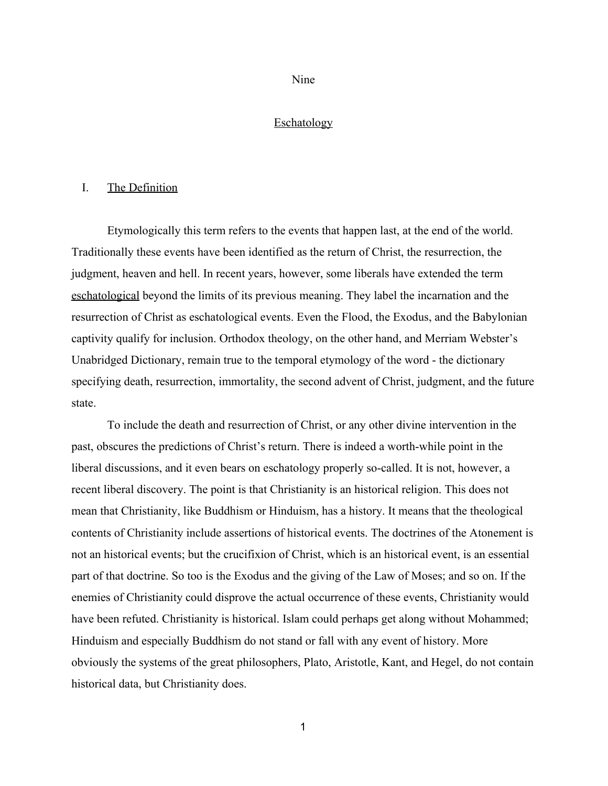Nine

## **Eschatology**

#### I. The Definition

Etymologically this term refers to the events that happen last, at the end of the world. Traditionally these events have been identified as the return of Christ, the resurrection, the judgment, heaven and hell. In recent years, however, some liberals have extended the term eschatological beyond the limits of its previous meaning. They label the incarnation and the resurrection of Christ as eschatological events. Even the Flood, the Exodus, and the Babylonian captivity qualify for inclusion. Orthodox theology, on the other hand, and Merriam Webster's Unabridged Dictionary, remain true to the temporal etymology of the word - the dictionary specifying death, resurrection, immortality, the second advent of Christ, judgment, and the future state.

To include the death and resurrection of Christ, or any other divine intervention in the past, obscures the predictions of Christ's return. There is indeed a worth-while point in the liberal discussions, and it even bears on eschatology properly so-called. It is not, however, a recent liberal discovery. The point is that Christianity is an historical religion. This does not mean that Christianity, like Buddhism or Hinduism, has a history. It means that the theological contents of Christianity include assertions of historical events. The doctrines of the Atonement is not an historical events; but the crucifixion of Christ, which is an historical event, is an essential part of that doctrine. So too is the Exodus and the giving of the Law of Moses; and so on. If the enemies of Christianity could disprove the actual occurrence of these events, Christianity would have been refuted. Christianity is historical. Islam could perhaps get along without Mohammed; Hinduism and especially Buddhism do not stand or fall with any event of history. More obviously the systems of the great philosophers, Plato, Aristotle, Kant, and Hegel, do not contain historical data, but Christianity does.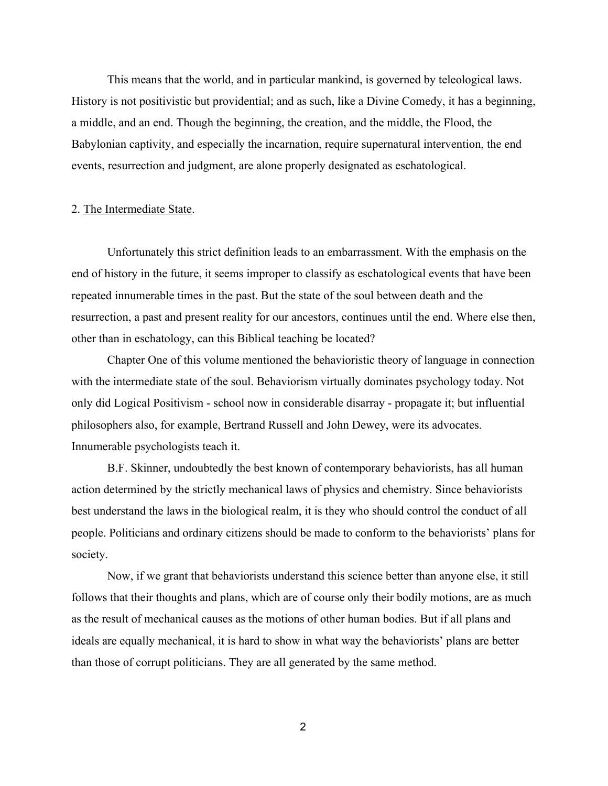This means that the world, and in particular mankind, is governed by teleological laws. History is not positivistic but providential; and as such, like a Divine Comedy, it has a beginning, a middle, and an end. Though the beginning, the creation, and the middle, the Flood, the Babylonian captivity, and especially the incarnation, require supernatural intervention, the end events, resurrection and judgment, are alone properly designated as eschatological.

#### 2. The Intermediate State.

Unfortunately this strict definition leads to an embarrassment. With the emphasis on the end of history in the future, it seems improper to classify as eschatological events that have been repeated innumerable times in the past. But the state of the soul between death and the resurrection, a past and present reality for our ancestors, continues until the end. Where else then, other than in eschatology, can this Biblical teaching be located?

Chapter One of this volume mentioned the behavioristic theory of language in connection with the intermediate state of the soul. Behaviorism virtually dominates psychology today. Not only did Logical Positivism - school now in considerable disarray - propagate it; but influential philosophers also, for example, Bertrand Russell and John Dewey, were its advocates. Innumerable psychologists teach it.

B.F. Skinner, undoubtedly the best known of contemporary behaviorists, has all human action determined by the strictly mechanical laws of physics and chemistry. Since behaviorists best understand the laws in the biological realm, it is they who should control the conduct of all people. Politicians and ordinary citizens should be made to conform to the behaviorists' plans for society.

Now, if we grant that behaviorists understand this science better than anyone else, it still follows that their thoughts and plans, which are of course only their bodily motions, are as much as the result of mechanical causes as the motions of other human bodies. But if all plans and ideals are equally mechanical, it is hard to show in what way the behaviorists' plans are better than those of corrupt politicians. They are all generated by the same method.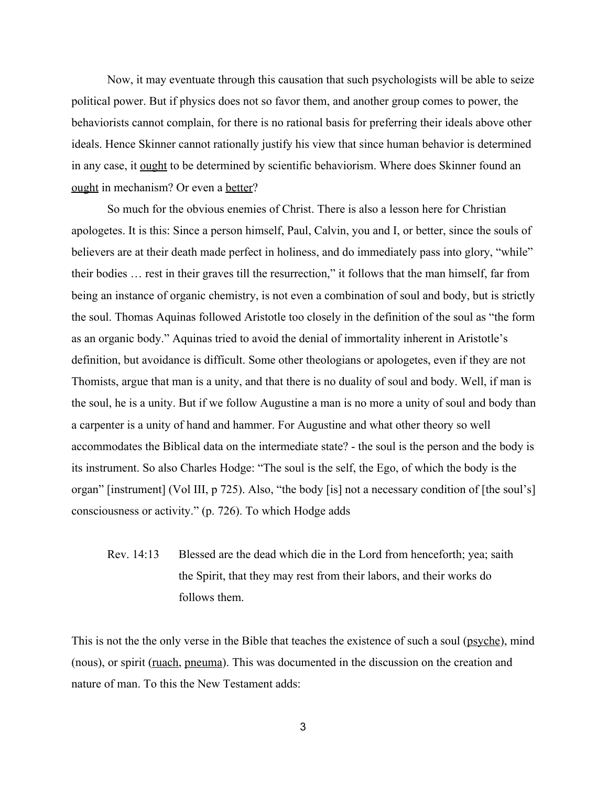Now, it may eventuate through this causation that such psychologists will be able to seize political power. But if physics does not so favor them, and another group comes to power, the behaviorists cannot complain, for there is no rational basis for preferring their ideals above other ideals. Hence Skinner cannot rationally justify his view that since human behavior is determined in any case, it ought to be determined by scientific behaviorism. Where does Skinner found an ought in mechanism? Or even a better?

So much for the obvious enemies of Christ. There is also a lesson here for Christian apologetes. It is this: Since a person himself, Paul, Calvin, you and I, or better, since the souls of believers are at their death made perfect in holiness, and do immediately pass into glory, "while" their bodies … rest in their graves till the resurrection," it follows that the man himself, far from being an instance of organic chemistry, is not even a combination of soul and body, but is strictly the soul. Thomas Aquinas followed Aristotle too closely in the definition of the soul as "the form as an organic body." Aquinas tried to avoid the denial of immortality inherent in Aristotle's definition, but avoidance is difficult. Some other theologians or apologetes, even if they are not Thomists, argue that man is a unity, and that there is no duality of soul and body. Well, if man is the soul, he is a unity. But if we follow Augustine a man is no more a unity of soul and body than a carpenter is a unity of hand and hammer. For Augustine and what other theory so well accommodates the Biblical data on the intermediate state?  $\overline{\phantom{a}}$  the soul is the person and the body is its instrument. So also Charles Hodge: "The soul is the self, the Ego, of which the body is the organ" [instrument] (Vol III, p 725). Also, "the body [is] not a necessary condition of [the soul's] consciousness or activity." (p. 726). To which Hodge adds

Rev. 14:13 Blessed are the dead which die in the Lord from henceforth; yea; saith the Spirit, that they may rest from their labors, and their works do follows them.

This is not the the only verse in the Bible that teaches the existence of such a soul (psyche), mind (nous), or spirit (ruach, pneuma). This was documented in the discussion on the creation and nature of man. To this the New Testament adds: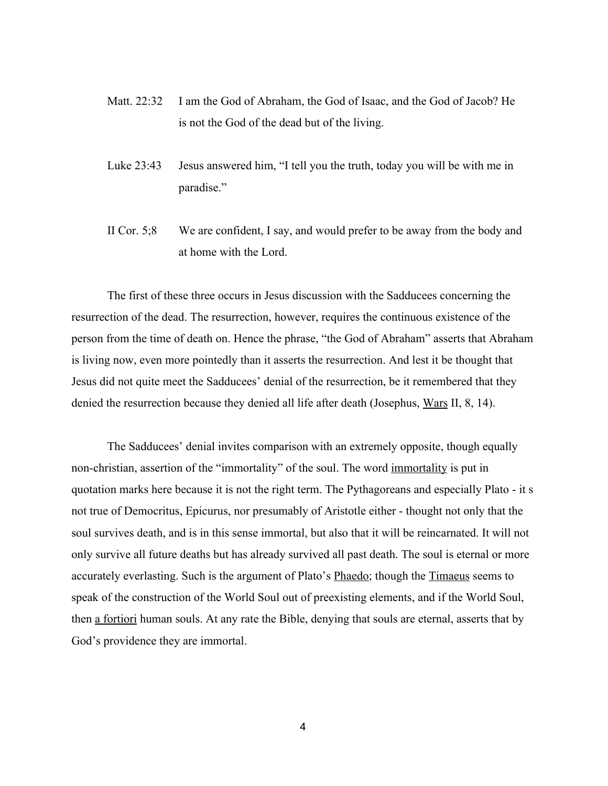- Matt. 22:32 I am the God of Abraham, the God of Isaac, and the God of Jacob? He is not the God of the dead but of the living.
- Luke 23:43 Jesus answered him, "I tell you the truth, today you will be with me in paradise."
- II Cor. 5;8 We are confident, I say, and would prefer to be away from the body and at home with the Lord.

The first of these three occurs in Jesus discussion with the Sadducees concerning the resurrection of the dead. The resurrection, however, requires the continuous existence of the person from the time of death on. Hence the phrase, "the God of Abraham" asserts that Abraham is living now, even more pointedly than it asserts the resurrection. And lest it be thought that Jesus did not quite meet the Sadducees' denial of the resurrection, be it remembered that they denied the resurrection because they denied all life after death (Josephus, Wars II, 8, 14).

The Sadducees' denial invites comparison with an extremely opposite, though equally non-christian, assertion of the "immortality" of the soul. The word immortality is put in quotation marks here because it is not the right term. The Pythagoreans and especially Plato - it s not true of Democritus, Epicurus, nor presumably of Aristotle either - thought not only that the soul survives death, and is in this sense immortal, but also that it will be reincarnated. It will not only survive all future deaths but has already survived all past death. The soul is eternal or more accurately everlasting. Such is the argument of Plato's Phaedo; though the Timaeus seems to speak of the construction of the World Soul out of preexisting elements, and if the World Soul, then a fortiori human souls. At any rate the Bible, denying that souls are eternal, asserts that by God's providence they are immortal.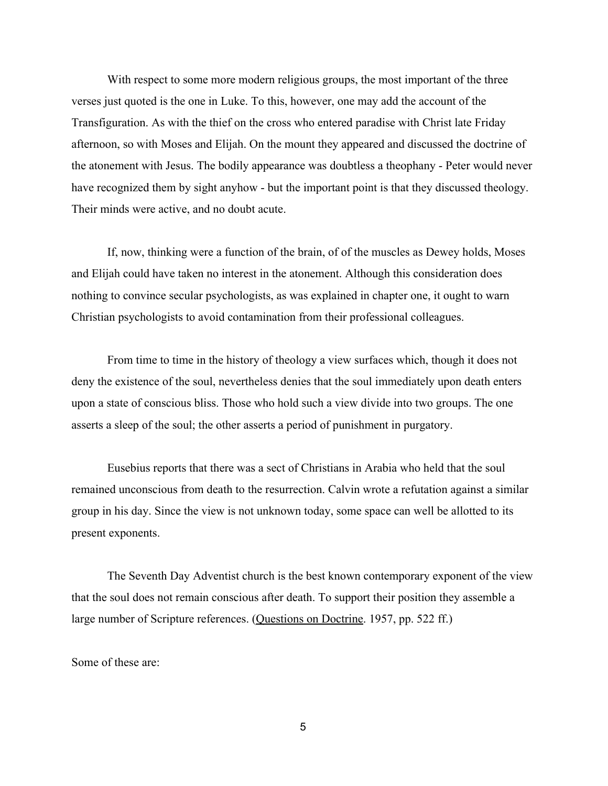With respect to some more modern religious groups, the most important of the three verses just quoted is the one in Luke. To this, however, one may add the account of the Transfiguration. As with the thief on the cross who entered paradise with Christ late Friday afternoon, so with Moses and Elijah. On the mount they appeared and discussed the doctrine of the atonement with Jesus. The bodily appearance was doubtless a theophany - Peter would never have recognized them by sight anyhow - but the important point is that they discussed theology. Their minds were active, and no doubt acute.

If, now, thinking were a function of the brain, of of the muscles as Dewey holds, Moses and Elijah could have taken no interest in the atonement. Although this consideration does nothing to convince secular psychologists, as was explained in chapter one, it ought to warn Christian psychologists to avoid contamination from their professional colleagues.

From time to time in the history of theology a view surfaces which, though it does not deny the existence of the soul, nevertheless denies that the soul immediately upon death enters upon a state of conscious bliss. Those who hold such a view divide into two groups. The one asserts a sleep of the soul; the other asserts a period of punishment in purgatory.

Eusebius reports that there was a sect of Christians in Arabia who held that the soul remained unconscious from death to the resurrection. Calvin wrote a refutation against a similar group in his day. Since the view is not unknown today, some space can well be allotted to its present exponents.

The Seventh Day Adventist church is the best known contemporary exponent of the view that the soul does not remain conscious after death. To support their position they assemble a large number of Scripture references. (Questions on Doctrine. 1957, pp. 522 ff.)

Some of these are: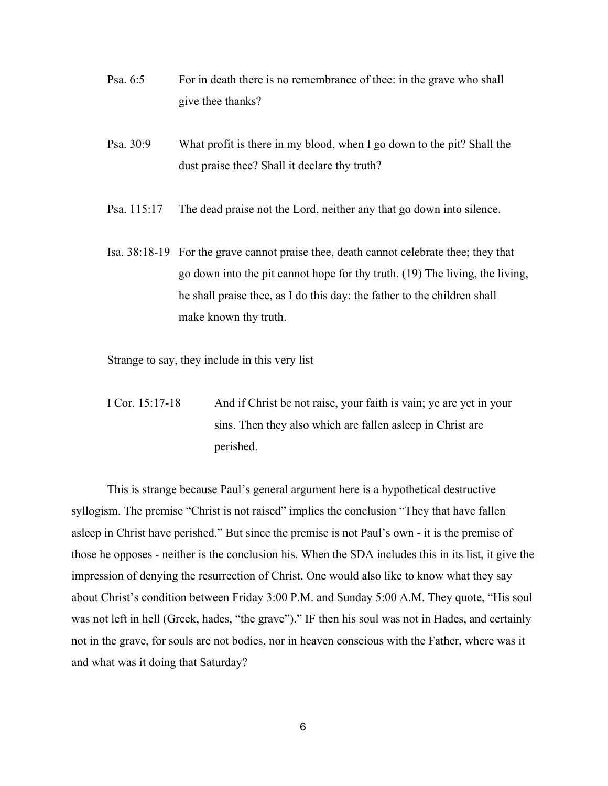- Psa. 6:5 For in death there is no remembrance of thee: in the grave who shall give thee thanks?
- Psa. 30:9 What profit is there in my blood, when I go down to the pit? Shall the dust praise thee? Shall it declare thy truth?
- Psa. 115:17 The dead praise not the Lord, neither any that go down into silence.
- Isa. 38:18-19 For the grave cannot praise thee, death cannot celebrate thee; they that go down into the pit cannot hope for thy truth. (19) The living, the living, he shall praise thee, as I do this day: the father to the children shall make known thy truth.

Strange to say, they include in this very list

I Cor. 15:17-18 And if Christ be not raise, your faith is vain; ye are yet in your sins. Then they also which are fallen asleep in Christ are perished.

This is strange because Paul's general argument here is a hypothetical destructive syllogism. The premise "Christ is not raised" implies the conclusion "They that have fallen asleep in Christ have perished." But since the premise is not Paul's own it is the premise of those he opposes neither is the conclusion his. When the SDA includes this in its list, it give the impression of denying the resurrection of Christ. One would also like to know what they say about Christ's condition between Friday 3:00 P.M. and Sunday 5:00 A.M. They quote, "His soul was not left in hell (Greek, hades, "the grave")." IF then his soul was not in Hades, and certainly not in the grave, for souls are not bodies, nor in heaven conscious with the Father, where was it and what was it doing that Saturday?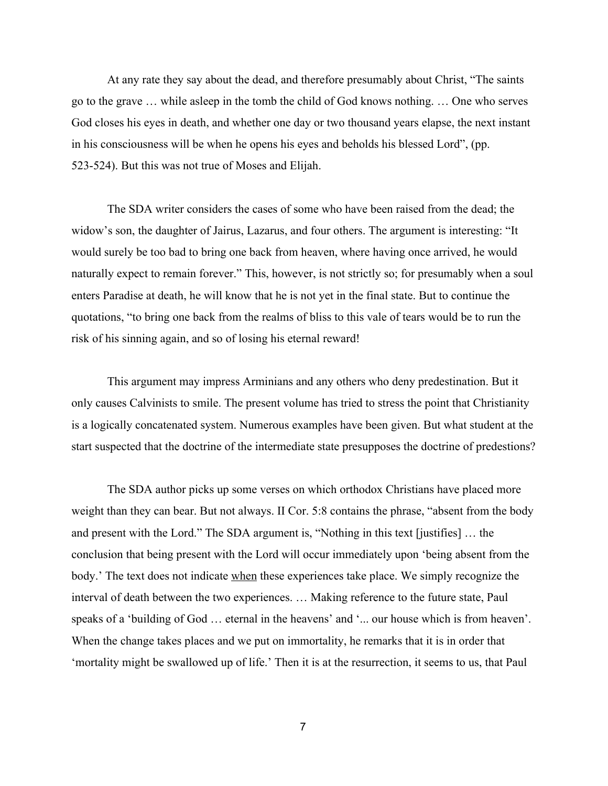At any rate they say about the dead, and therefore presumably about Christ, "The saints go to the grave … while asleep in the tomb the child of God knows nothing. … One who serves God closes his eyes in death, and whether one day or two thousand years elapse, the next instant in his consciousness will be when he opens his eyes and beholds his blessed Lord", (pp. 523-524). But this was not true of Moses and Elijah.

The SDA writer considers the cases of some who have been raised from the dead; the widow's son, the daughter of Jairus, Lazarus, and four others. The argument is interesting: "It would surely be too bad to bring one back from heaven, where having once arrived, he would naturally expect to remain forever." This, however, is not strictly so; for presumably when a soul enters Paradise at death, he will know that he is not yet in the final state. But to continue the quotations, "to bring one back from the realms of bliss to this vale of tears would be to run the risk of his sinning again, and so of losing his eternal reward!

This argument may impress Arminians and any others who deny predestination. But it only causes Calvinists to smile. The present volume has tried to stress the point that Christianity is a logically concatenated system. Numerous examples have been given. But what student at the start suspected that the doctrine of the intermediate state presupposes the doctrine of predestions?

The SDA author picks up some verses on which orthodox Christians have placed more weight than they can bear. But not always. II Cor. 5:8 contains the phrase, "absent from the body and present with the Lord." The SDA argument is, "Nothing in this text [justifies] … the conclusion that being present with the Lord will occur immediately upon 'being absent from the body.' The text does not indicate when these experiences take place. We simply recognize the interval of death between the two experiences. … Making reference to the future state, Paul speaks of a 'building of God … eternal in the heavens' and '... our house which is from heaven'. When the change takes places and we put on immortality, he remarks that it is in order that 'mortality might be swallowed up of life.' Then it is at the resurrection, it seems to us, that Paul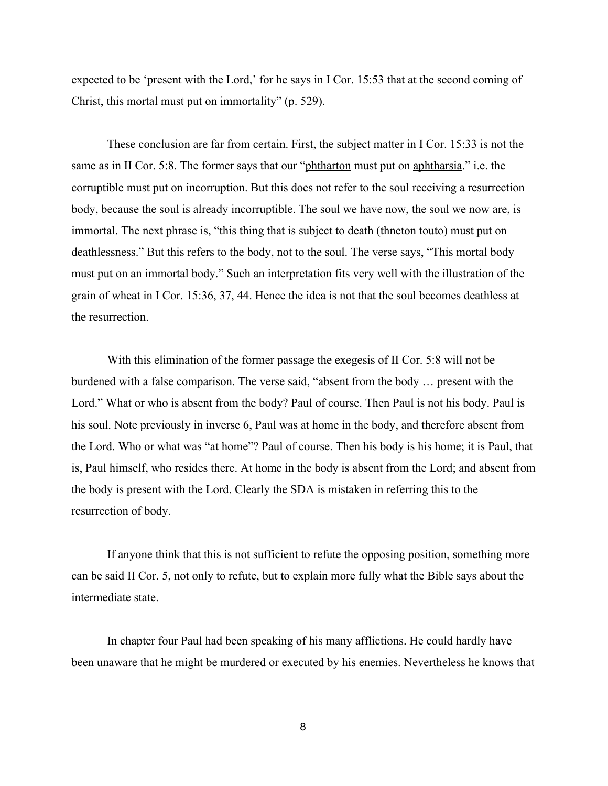expected to be 'present with the Lord,' for he says in I Cor. 15:53 that at the second coming of Christ, this mortal must put on immortality" (p. 529).

These conclusion are far from certain. First, the subject matter in I Cor. 15:33 is not the same as in II Cor. 5:8. The former says that our "phtharton must put on aphtharsia." i.e. the corruptible must put on incorruption. But this does not refer to the soul receiving a resurrection body, because the soul is already incorruptible. The soul we have now, the soul we now are, is immortal. The next phrase is, "this thing that is subject to death (thneton touto) must put on deathlessness." But this refers to the body, not to the soul. The verse says, "This mortal body must put on an immortal body." Such an interpretation fits very well with the illustration of the grain of wheat in I Cor. 15:36, 37, 44. Hence the idea is not that the soul becomes deathless at the resurrection.

With this elimination of the former passage the exegesis of II Cor. 5:8 will not be burdened with a false comparison. The verse said, "absent from the body … present with the Lord." What or who is absent from the body? Paul of course. Then Paul is not his body. Paul is his soul. Note previously in inverse 6, Paul was at home in the body, and therefore absent from the Lord. Who or what was "at home"? Paul of course. Then his body is his home; it is Paul, that is, Paul himself, who resides there. At home in the body is absent from the Lord; and absent from the body is present with the Lord. Clearly the SDA is mistaken in referring this to the resurrection of body.

If anyone think that this is not sufficient to refute the opposing position, something more can be said II Cor. 5, not only to refute, but to explain more fully what the Bible says about the intermediate state.

In chapter four Paul had been speaking of his many afflictions. He could hardly have been unaware that he might be murdered or executed by his enemies. Nevertheless he knows that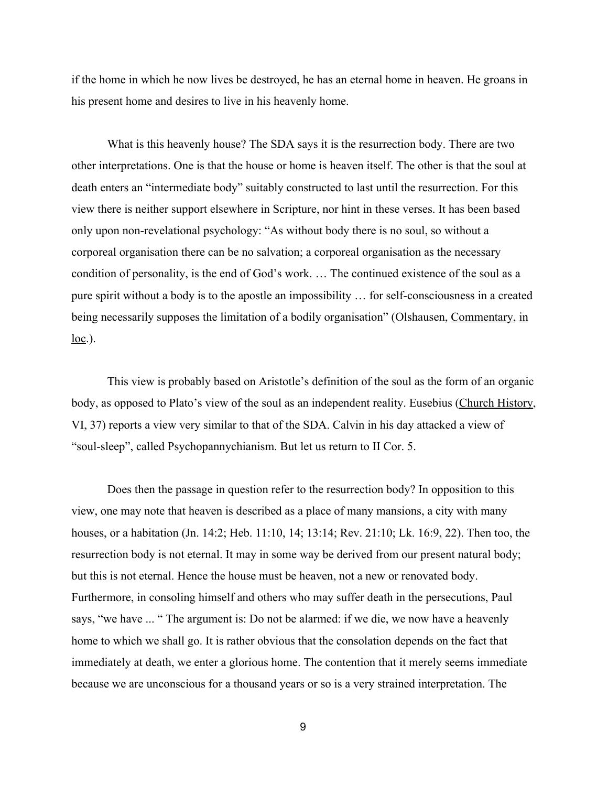if the home in which he now lives be destroyed, he has an eternal home in heaven. He groans in his present home and desires to live in his heavenly home.

What is this heavenly house? The SDA says it is the resurrection body. There are two other interpretations. One is that the house or home is heaven itself. The other is that the soul at death enters an "intermediate body" suitably constructed to last until the resurrection. For this view there is neither support elsewhere in Scripture, nor hint in these verses. It has been based only upon non-revelational psychology: "As without body there is no soul, so without a corporeal organisation there can be no salvation; a corporeal organisation as the necessary condition of personality, is the end of God's work. … The continued existence of the soul as a pure spirit without a body is to the apostle an impossibility  $\ldots$  for self-consciousness in a created being necessarily supposes the limitation of a bodily organisation" (Olshausen, Commentary, in  $loc.$ ).

This view is probably based on Aristotle's definition of the soul as the form of an organic body, as opposed to Plato's view of the soul as an independent reality. Eusebius (Church History, VI, 37) reports a view very similar to that of the SDA. Calvin in his day attacked a view of "soul-sleep", called Psychopannychianism. But let us return to II Cor. 5.

Does then the passage in question refer to the resurrection body? In opposition to this view, one may note that heaven is described as a place of many mansions, a city with many houses, or a habitation (Jn. 14:2; Heb. 11:10, 14; 13:14; Rev. 21:10; Lk. 16:9, 22). Then too, the resurrection body is not eternal. It may in some way be derived from our present natural body; but this is not eternal. Hence the house must be heaven, not a new or renovated body. Furthermore, in consoling himself and others who may suffer death in the persecutions, Paul says, "we have ... " The argument is: Do not be alarmed: if we die, we now have a heavenly home to which we shall go. It is rather obvious that the consolation depends on the fact that immediately at death, we enter a glorious home. The contention that it merely seems immediate because we are unconscious for a thousand years or so is a very strained interpretation. The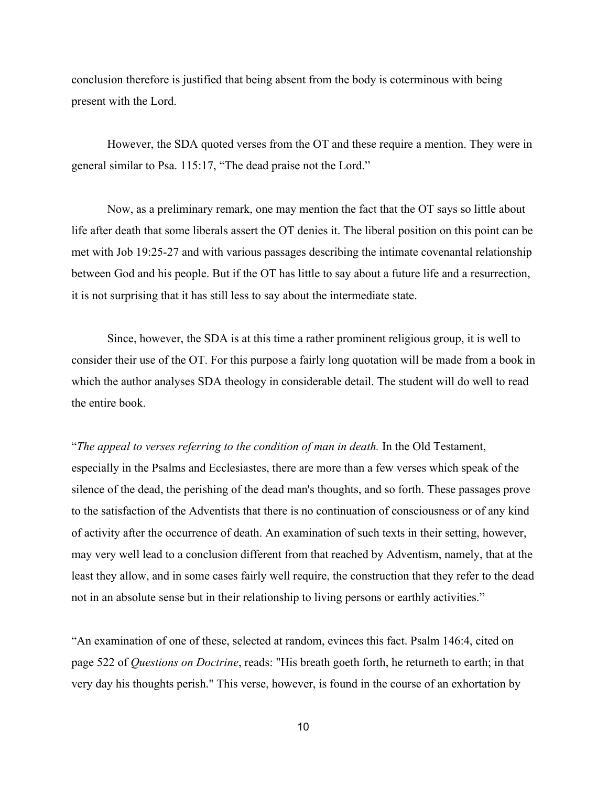conclusion therefore is justified that being absent from the body is coterminous with being present with the Lord.

However, the SDA quoted verses from the OT and these require a mention. They were in general similar to Psa. 115:17, "The dead praise not the Lord."

Now, as a preliminary remark, one may mention the fact that the OT says so little about life after death that some liberals assert the OT denies it. The liberal position on this point can be met with Job 19:2527 and with various passages describing the intimate covenantal relationship between God and his people. But if the OT has little to say about a future life and a resurrection, it is not surprising that it has still less to say about the intermediate state.

Since, however, the SDA is at this time a rather prominent religious group, it is well to consider their use of the OT. For this purpose a fairly long quotation will be made from a book in which the author analyses SDA theology in considerable detail. The student will do well to read the entire book.

"*The appeal to verses referring to the condition of man in death.* In the Old Testament, especially in the Psalms and Ecclesiastes, there are more than a few verses which speak of the silence of the dead, the perishing of the dead man's thoughts, and so forth. These passages prove to the satisfaction of the Adventists that there is no continuation of consciousness or of any kind of activity after the occurrence of death. An examination of such texts in their setting, however, may very well lead to a conclusion different from that reached by Adventism, namely, that at the least they allow, and in some cases fairly well require, the construction that they refer to the dead not in an absolute sense but in their relationship to living persons or earthly activities."

"An examination of one of these, selected at random, evinces this fact. Psalm 146:4, cited on page 522 of *Questions on Doctrine*, reads: "His breath goeth forth, he returneth to earth; in that very day his thoughts perish." This verse, however, is found in the course of an exhortation by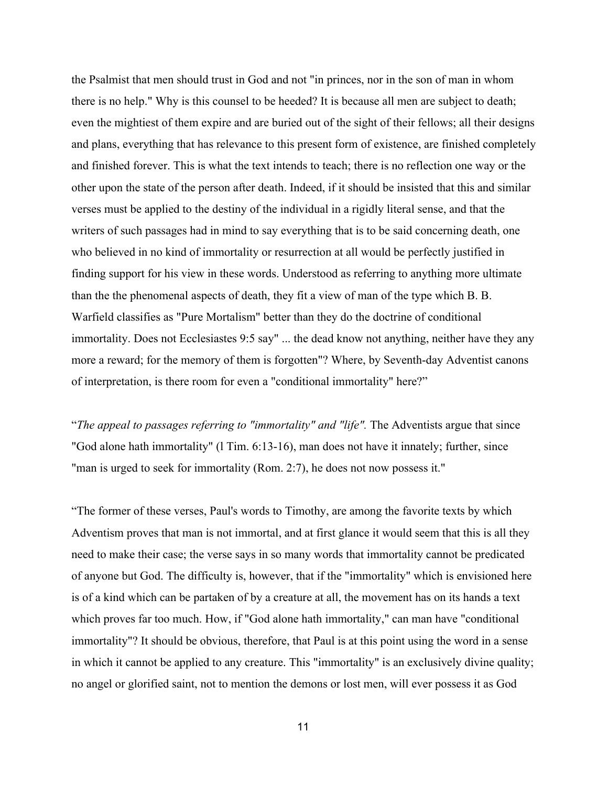the Psalmist that men should trust in God and not "in princes, nor in the son of man in whom there is no help." Why is this counsel to be heeded? It is because all men are subject to death; even the mightiest of them expire and are buried out of the sight of their fellows; all their designs and plans, everything that has relevance to this present form of existence, are finished completely and finished forever. This is what the text intends to teach; there is no reflection one way or the other upon the state of the person after death. Indeed, if it should be insisted that this and similar verses must be applied to the destiny of the individual in a rigidly literal sense, and that the writers of such passages had in mind to say everything that is to be said concerning death, one who believed in no kind of immortality or resurrection at all would be perfectly justified in finding support for his view in these words. Understood as referring to anything more ultimate than the the phenomenal aspects of death, they fit a view of man of the type which B. B. Warfield classifies as "Pure Mortalism" better than they do the doctrine of conditional immortality. Does not Ecclesiastes 9:5 say" ... the dead know not anything, neither have they any more a reward; for the memory of them is forgotten"? Where, by Seventh-day Adventist canons of interpretation, is there room for even a "conditional immortality" here?"

"*The appeal to passages referring to "immortality" and "life".* The Adventists argue that since "God alone hath immortality" (1 Tim. 6:13-16), man does not have it innately; further, since "man is urged to seek for immortality (Rom. 2:7), he does not now possess it."

"The former of these verses, Paul's words to Timothy, are among the favorite texts by which Adventism proves that man is not immortal, and at first glance it would seem that this is all they need to make their case; the verse says in so many words that immortality cannot be predicated of anyone but God. The difficulty is, however, that if the "immortality" which is envisioned here is of a kind which can be partaken of by a creature at all, the movement has on its hands a text which proves far too much. How, if "God alone hath immortality," can man have "conditional immortality"? It should be obvious, therefore, that Paul is at this point using the word in a sense in which it cannot be applied to any creature. This "immortality" is an exclusively divine quality; no angel or glorified saint, not to mention the demons or lost men, will ever possess it as God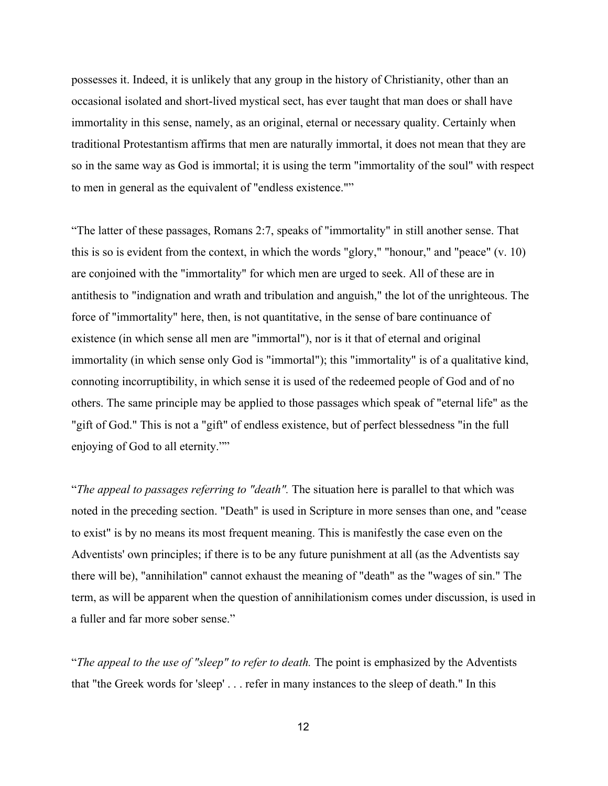possesses it. Indeed, it is unlikely that any group in the history of Christianity, other than an occasional isolated and short-lived mystical sect, has ever taught that man does or shall have immortality in this sense, namely, as an original, eternal or necessary quality. Certainly when traditional Protestantism affirms that men are naturally immortal, it does not mean that they are so in the same way as God is immortal; it is using the term "immortality of the soul" with respect to men in general as the equivalent of "endless existence.""

"The latter of these passages, Romans 2:7, speaks of "immortality" in still another sense. That this is so is evident from the context, in which the words "glory," "honour," and "peace" (v. 10) are conjoined with the "immortality" for which men are urged to seek. All of these are in antithesis to "indignation and wrath and tribulation and anguish," the lot of the unrighteous. The force of "immortality" here, then, is not quantitative, in the sense of bare continuance of existence (in which sense all men are "immortal"), nor is it that of eternal and original immortality (in which sense only God is "immortal"); this "immortality" is of a qualitative kind, connoting incorruptibility, in which sense it is used of the redeemed people of God and of no others. The same principle may be applied to those passages which speak of "eternal life" as the "gift of God." This is not a "gift" of endless existence, but of perfect blessedness "in the full enjoying of God to all eternity.""

"*The appeal to passages referring to "death".* The situation here is parallel to that which was noted in the preceding section. "Death" is used in Scripture in more senses than one, and "cease to exist" is by no means its most frequent meaning. This is manifestly the case even on the Adventists' own principles; if there is to be any future punishment at all (as the Adventists say there will be), "annihilation" cannot exhaust the meaning of "death" as the "wages of sin." The term, as will be apparent when the question of annihilationism comes under discussion, is used in a fuller and far more sober sense."

"*The appeal to the use of "sleep" to refer to death.* The point is emphasized by the Adventists that "the Greek words for 'sleep' . . . refer in many instances to the sleep of death." In this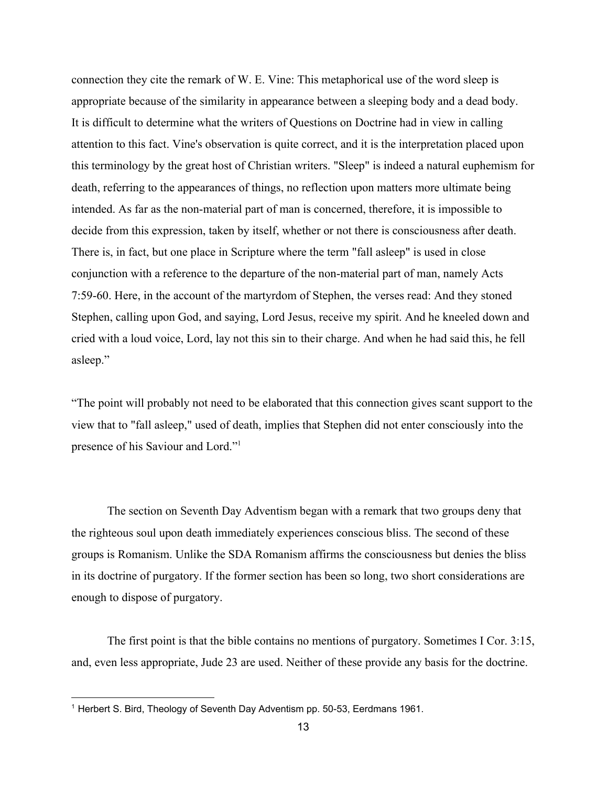connection they cite the remark of W. E. Vine: This metaphorical use of the word sleep is appropriate because of the similarity in appearance between a sleeping body and a dead body. It is difficult to determine what the writers of Questions on Doctrine had in view in calling attention to this fact. Vine's observation is quite correct, and it is the interpretation placed upon this terminology by the great host of Christian writers. "Sleep" is indeed a natural euphemism for death, referring to the appearances of things, no reflection upon matters more ultimate being intended. As far as the non-material part of man is concerned, therefore, it is impossible to decide from this expression, taken by itself, whether or not there is consciousness after death. There is, in fact, but one place in Scripture where the term "fall asleep" is used in close conjunction with a reference to the departure of the non-material part of man, namely Acts 7:5960. Here, in the account of the martyrdom of Stephen, the verses read: And they stoned Stephen, calling upon God, and saying, Lord Jesus, receive my spirit. And he kneeled down and cried with a loud voice, Lord, lay not this sin to their charge. And when he had said this, he fell asleep."

"The point will probably not need to be elaborated that this connection gives scant support to the view that to "fall asleep," used of death, implies that Stephen did not enter consciously into the presence of his Saviour and Lord." 1

The section on Seventh Day Adventism began with a remark that two groups deny that the righteous soul upon death immediately experiences conscious bliss. The second of these groups is Romanism. Unlike the SDA Romanism affirms the consciousness but denies the bliss in its doctrine of purgatory. If the former section has been so long, two short considerations are enough to dispose of purgatory.

The first point is that the bible contains no mentions of purgatory. Sometimes I Cor. 3:15, and, even less appropriate, Jude 23 are used. Neither of these provide any basis for the doctrine.

<sup>&</sup>lt;sup>1</sup> Herbert S. Bird, Theology of Seventh Day Adventism pp. 50-53, Eerdmans 1961.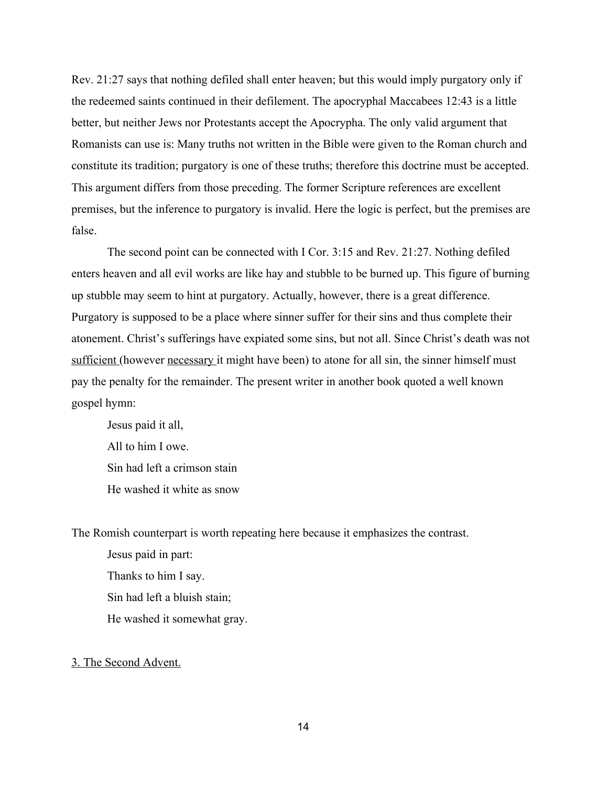Rev. 21:27 says that nothing defiled shall enter heaven; but this would imply purgatory only if the redeemed saints continued in their defilement. The apocryphal Maccabees 12:43 is a little better, but neither Jews nor Protestants accept the Apocrypha. The only valid argument that Romanists can use is: Many truths not written in the Bible were given to the Roman church and constitute its tradition; purgatory is one of these truths; therefore this doctrine must be accepted. This argument differs from those preceding. The former Scripture references are excellent premises, but the inference to purgatory is invalid. Here the logic is perfect, but the premises are false.

The second point can be connected with I Cor. 3:15 and Rev. 21:27. Nothing defiled enters heaven and all evil works are like hay and stubble to be burned up. This figure of burning up stubble may seem to hint at purgatory. Actually, however, there is a great difference. Purgatory is supposed to be a place where sinner suffer for their sins and thus complete their atonement. Christ's sufferings have expiated some sins, but not all. Since Christ's death was not sufficient (however necessary it might have been) to atone for all sin, the sinner himself must pay the penalty for the remainder. The present writer in another book quoted a well known gospel hymn:

Jesus paid it all, All to him I owe. Sin had left a crimson stain He washed it white as snow

The Romish counterpart is worth repeating here because it emphasizes the contrast.

Jesus paid in part: Thanks to him I say. Sin had left a bluish stain; He washed it somewhat gray.

### 3. The Second Advent.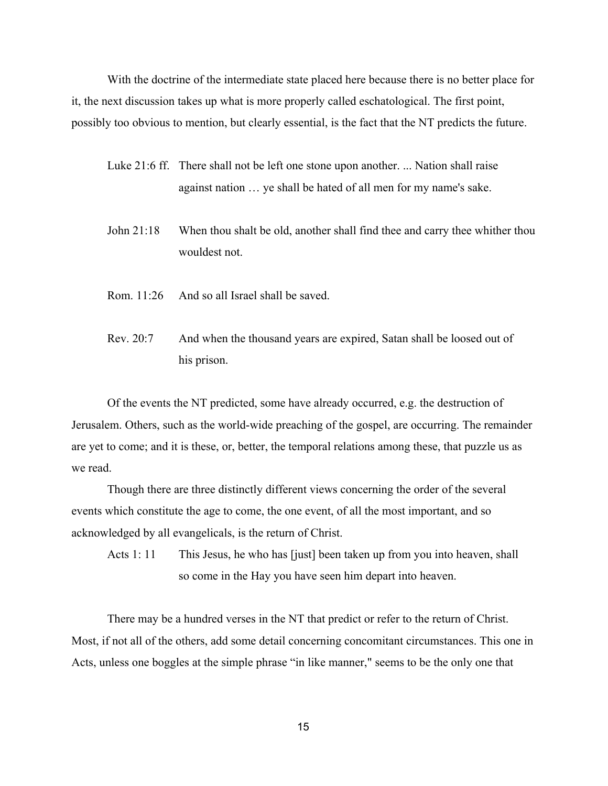With the doctrine of the intermediate state placed here because there is no better place for it, the next discussion takes up what is more properly called eschatological. The first point, possibly too obvious to mention, but clearly essential, is the fact that the NT predicts the future.

- Luke 21:6 ff. There shall not be left one stone upon another. ... Nation shall raise against nation … ye shall be hated of all men for my name's sake.
- John 21:18 When thou shalt be old, another shall find thee and carry thee whither thou wouldest not.
- Rom. 11:26 And so all Israel shall be saved.
- Rev. 20:7 And when the thousand years are expired, Satan shall be loosed out of his prison.

Of the events the NT predicted, some have already occurred, e.g. the destruction of Jerusalem. Others, such as the world-wide preaching of the gospel, are occurring. The remainder are yet to come; and it is these, or, better, the temporal relations among these, that puzzle us as we read.

Though there are three distinctly different views concerning the order of the several events which constitute the age to come, the one event, of all the most important, and so acknowledged by all evangelicals, is the return of Christ.

Acts 1: 11 This Jesus, he who has [just] been taken up from you into heaven, shall so come in the Hay you have seen him depart into heaven.

There may be a hundred verses in the NT that predict or refer to the return of Christ. Most, if not all of the others, add some detail concerning concomitant circumstances. This one in Acts, unless one boggles at the simple phrase "in like manner," seems to be the only one that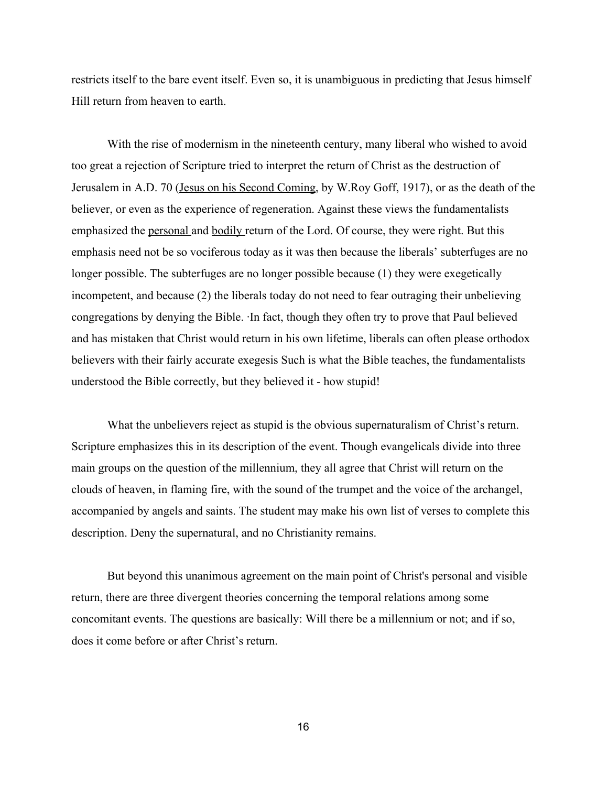restricts itself to the bare event itself. Even so, it is unambiguous in predicting that Jesus himself Hill return from heaven to earth.

With the rise of modernism in the nineteenth century, many liberal who wished to avoid too great a rejection of Scripture tried to interpret the return of Christ as the destruction of Jerusalem in A.D. 70 (Jesus on his Second Coming, by W.Roy Goff, 1917), or as the death of the believer, or even as the experience of regeneration. Against these views the fundamentalists emphasized the personal and bodily return of the Lord. Of course, they were right. But this emphasis need not be so vociferous today as it was then because the liberals' subterfuges are no longer possible. The subterfuges are no longer possible because (1) they were exegetically incompetent, and because (2) the liberals today do not need to fear outraging their unbelieving congregations by denying the Bible. ∙In fact, though they often try to prove that Paul believed and has mistaken that Christ would return in his own lifetime, liberals can often please orthodox believers with their fairly accurate exegesis Such is what the Bible teaches, the fundamentalists understood the Bible correctly, but they believed it - how stupid!

What the unbelievers reject as stupid is the obvious supernaturalism of Christ's return. Scripture emphasizes this in its description of the event. Though evangelicals divide into three main groups on the question of the millennium, they all agree that Christ will return on the clouds of heaven, in flaming fire, with the sound of the trumpet and the voice of the archangel, accompanied by angels and saints. The student may make his own list of verses to complete this description. Deny the supernatural, and no Christianity remains.

But beyond this unanimous agreement on the main point of Christ's personal and visible return, there are three divergent theories concerning the temporal relations among some concomitant events. The questions are basically: Will there be a millennium or not; and if so, does it come before or after Christ's return.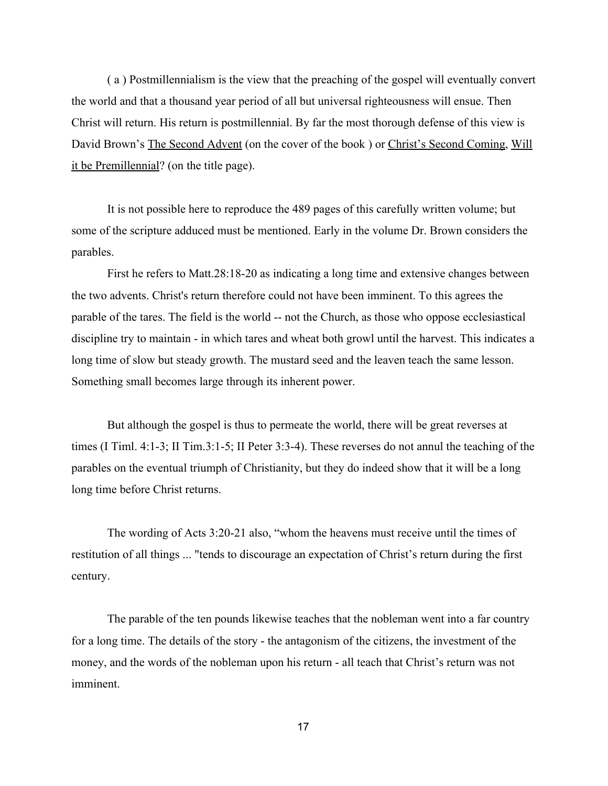( a ) Postmillennialism is the view that the preaching of the gospel will eventually convert the world and that a thousand year period of all but universal righteousness will ensue. Then Christ will return. His return is postmillennial. By far the most thorough defense of this view is David Brown's The Second Advent (on the cover of the book) or Christ's Second Coming, Will it be Premillennial? (on the title page).

It is not possible here to reproduce the 489 pages of this carefully written volume; but some of the scripture adduced must be mentioned. Early in the volume Dr. Brown considers the parables.

First he refers to Matt.  $28:18-20$  as indicating a long time and extensive changes between the two advents. Christ's return therefore could not have been imminent. To this agrees the parable of the tares. The field is the world -- not the Church, as those who oppose ecclesiastical discipline try to maintain - in which tares and wheat both growl until the harvest. This indicates a long time of slow but steady growth. The mustard seed and the leaven teach the same lesson. Something small becomes large through its inherent power.

But although the gospel is thus to permeate the world, there will be great reverses at times (I Timl. 4:1-3; II Tim.3:1-5; II Peter 3:3-4). These reverses do not annul the teaching of the parables on the eventual triumph of Christianity, but they do indeed show that it will be a long long time before Christ returns.

The wording of Acts 3:20-21 also, "whom the heavens must receive until the times of restitution of all things ... "tends to discourage an expectation of Christ's return during the first century.

The parable of the ten pounds likewise teaches that the nobleman went into a far country for a long time. The details of the story - the antagonism of the citizens, the investment of the money, and the words of the nobleman upon his return - all teach that Christ's return was not imminent.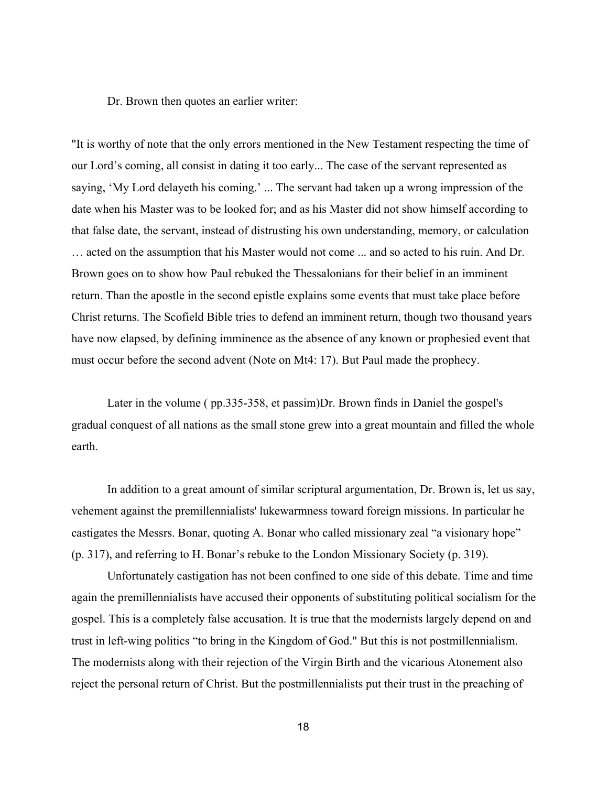Dr. Brown then quotes an earlier writer:

"It is worthy of note that the only errors mentioned in the New Testament respecting the time of our Lord's coming, all consist in dating it too early... The case of the servant represented as saying, 'My Lord delayeth his coming.' ... The servant had taken up a wrong impression of the date when his Master was to be looked for; and as his Master did not show himself according to that false date, the servant, instead of distrusting his own understanding, memory, or calculation … acted on the assumption that his Master would not come ... and so acted to his ruin. And Dr. Brown goes on to show how Paul rebuked the Thessalonians for their belief in an imminent return. Than the apostle in the second epistle explains some events that must take place before Christ returns. The Scofield Bible tries to defend an imminent return, though two thousand years have now elapsed, by defining imminence as the absence of any known or prophesied event that must occur before the second advent (Note on Mt4: 17). But Paul made the prophecy.

Later in the volume (pp.335-358, et passim)Dr. Brown finds in Daniel the gospel's gradual conquest of all nations as the small stone grew into a great mountain and filled the whole earth.

In addition to a great amount of similar scriptural argumentation, Dr. Brown is, let us say, vehement against the premillennialists' lukewarmness toward foreign missions. In particular he castigates the Messrs. Bonar, quoting A. Bonar who called missionary zeal "a visionary hope" (p. 317), and referring to H. Bonar's rebuke to the London Missionary Society (p. 319).

Unfortunately castigation has not been confined to one side of this debate. Time and time again the premillennialists have accused their opponents of substituting political socialism for the gospel. This is a completely false accusation. It is true that the modernists largely depend on and trust in left-wing politics "to bring in the Kingdom of God." But this is not postmillennialism. The modernists along with their rejection of the Virgin Birth and the vicarious Atonement also reject the personal return of Christ. But the postmillennialists put their trust in the preaching of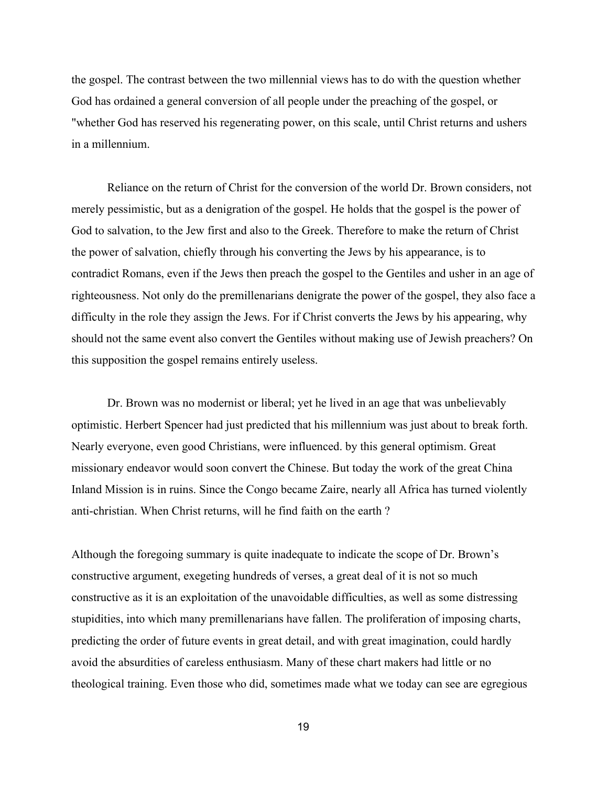the gospel. The contrast between the two millennial views has to do with the question whether God has ordained a general conversion of all people under the preaching of the gospel, or "whether God has reserved his regenerating power, on this scale, until Christ returns and ushers in a millennium.

Reliance on the return of Christ for the conversion of the world Dr. Brown considers, not merely pessimistic, but as a denigration of the gospel. He holds that the gospel is the power of God to salvation, to the Jew first and also to the Greek. Therefore to make the return of Christ the power of salvation, chiefly through his converting the Jews by his appearance, is to contradict Romans, even if the Jews then preach the gospel to the Gentiles and usher in an age of righteousness. Not only do the premillenarians denigrate the power of the gospel, they also face a difficulty in the role they assign the Jews. For if Christ converts the Jews by his appearing, why should not the same event also convert the Gentiles without making use of Jewish preachers? On this supposition the gospel remains entirely useless.

Dr. Brown was no modernist or liberal; yet he lived in an age that was unbelievably optimistic. Herbert Spencer had just predicted that his millennium was just about to break forth. Nearly everyone, even good Christians, were influenced. by this general optimism. Great missionary endeavor would soon convert the Chinese. But today the work of the great China Inland Mission is in ruins. Since the Congo became Zaire, nearly all Africa has turned violently anti-christian. When Christ returns, will he find faith on the earth ?

Although the foregoing summary is quite inadequate to indicate the scope of Dr. Brown's constructive argument, exegeting hundreds of verses, a great deal of it is not so much constructive as it is an exploitation of the unavoidable difficulties, as well as some distressing stupidities, into which many premillenarians have fallen. The proliferation of imposing charts, predicting the order of future events in great detail, and with great imagination, could hardly avoid the absurdities of careless enthusiasm. Many of these chart makers had little or no theological training. Even those who did, sometimes made what we today can see are egregious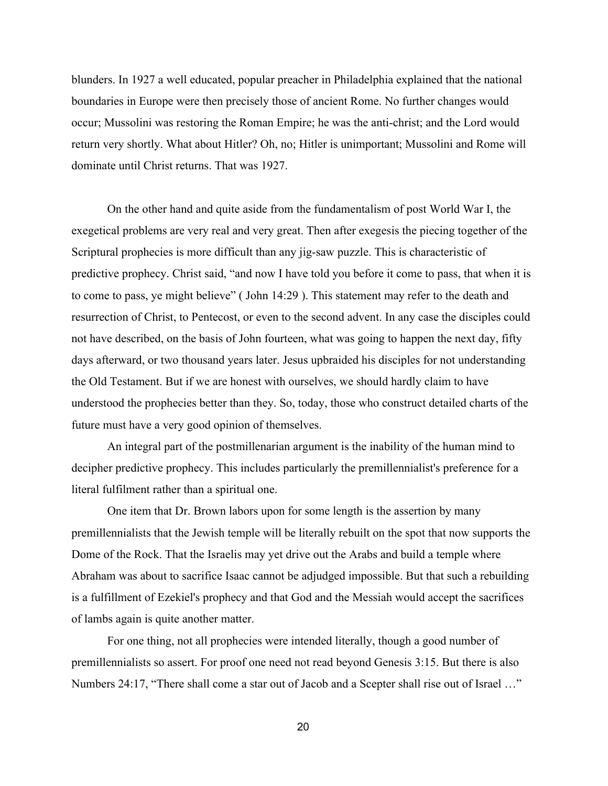blunders. In 1927 a well educated, popular preacher in Philadelphia explained that the national boundaries in Europe were then precisely those of ancient Rome. No further changes would occur; Mussolini was restoring the Roman Empire; he was the antichrist; and the Lord would return very shortly. What about Hitler? Oh, no; Hitler is unimportant; Mussolini and Rome will dominate until Christ returns. That was 1927.

On the other hand and quite aside from the fundamentalism of post World War I, the exegetical problems are very real and very great. Then after exegesis the piecing together of the Scriptural prophecies is more difficult than any jig-saw puzzle. This is characteristic of predictive prophecy. Christ said, "and now I have told you before it come to pass, that when it is to come to pass, ye might believe" ( John 14:29 ). This statement may refer to the death and resurrection of Christ, to Pentecost, or even to the second advent. In any case the disciples could not have described, on the basis of John fourteen, what was going to happen the next day, fifty days afterward, or two thousand years later. Jesus upbraided his disciples for not understanding the Old Testament. But if we are honest with ourselves, we should hardly claim to have understood the prophecies better than they. So, today, those who construct detailed charts of the future must have a very good opinion of themselves.

An integral part of the postmillenarian argument is the inability of the human mind to decipher predictive prophecy. This includes particularly the premillennialist's preference for a literal fulfilment rather than a spiritual one.

One item that Dr. Brown labors upon for some length is the assertion by many premillennialists that the Jewish temple will be literally rebuilt on the spot that now supports the Dome of the Rock. That the Israelis may yet drive out the Arabs and build a temple where Abraham was about to sacrifice Isaac cannot be adjudged impossible. But that such a rebuilding is a fulfillment of Ezekiel's prophecy and that God and the Messiah would accept the sacrifices of lambs again is quite another matter.

For one thing, not all prophecies were intended literally, though a good number of premillennialists so assert. For proof one need not read beyond Genesis 3:15. But there is also Numbers 24:17, "There shall come a star out of Jacob and a Scepter shall rise out of Israel …"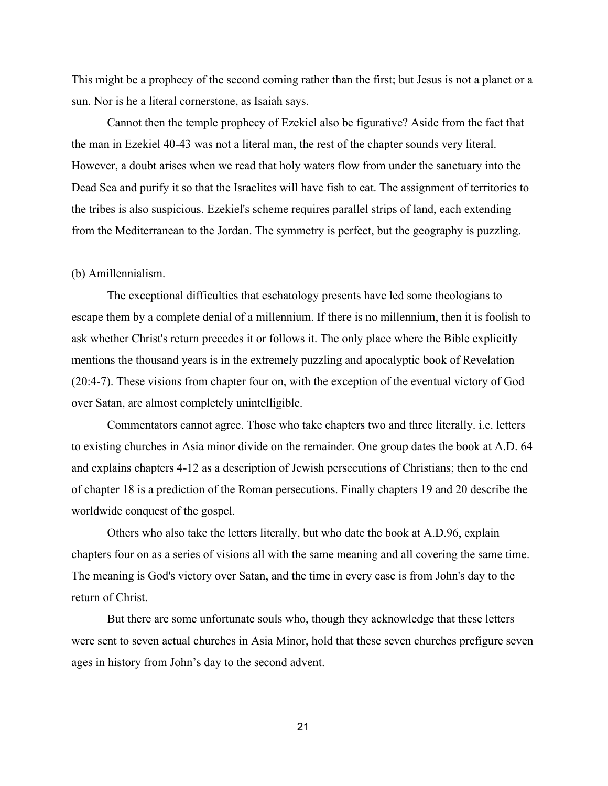This might be a prophecy of the second coming rather than the first; but Jesus is not a planet or a sun. Nor is he a literal cornerstone, as Isaiah says.

Cannot then the temple prophecy of Ezekiel also be figurative? Aside from the fact that the man in Ezekiel 4043 was not a literal man, the rest of the chapter sounds very literal. However, a doubt arises when we read that holy waters flow from under the sanctuary into the Dead Sea and purify it so that the Israelites will have fish to eat. The assignment of territories to the tribes is also suspicious. Ezekiel's scheme requires parallel strips of land, each extending from the Mediterranean to the Jordan. The symmetry is perfect, but the geography is puzzling.

#### (b) Amillennialism.

The exceptional difficulties that eschatology presents have led some theologians to escape them by a complete denial of a millennium. If there is no millennium, then it is foolish to ask whether Christ's return precedes it or follows it. The only place where the Bible explicitly mentions the thousand years is in the extremely puzzling and apocalyptic book of Revelation (20:47). These visions from chapter four on, with the exception of the eventual victory of God over Satan, are almost completely unintelligible.

Commentators cannot agree. Those who take chapters two and three literally. i.e. letters to existing churches in Asia minor divide on the remainder. One group dates the book at A.D. 64 and explains chapters 412 as a description of Jewish persecutions of Christians; then to the end of chapter 18 is a prediction of the Roman persecutions. Finally chapters 19 and 20 describe the worldwide conquest of the gospel.

Others who also take the letters literally, but who date the book at A.D.96, explain chapters four on as a series of visions all with the same meaning and all covering the same time. The meaning is God's victory over Satan, and the time in every case is from John's day to the return of Christ.

But there are some unfortunate souls who, though they acknowledge that these letters were sent to seven actual churches in Asia Minor, hold that these seven churches prefigure seven ages in history from John's day to the second advent.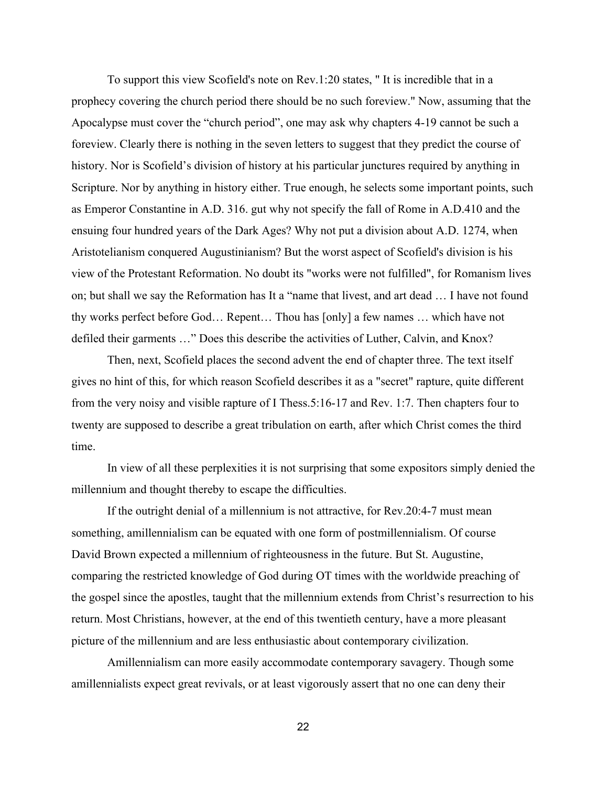To support this view Scofield's note on Rev.1:20 states, " It is incredible that in a prophecy covering the church period there should be no such foreview." Now, assuming that the Apocalypse must cover the "church period", one may ask why chapters 419 cannot be such a foreview. Clearly there is nothing in the seven letters to suggest that they predict the course of history. Nor is Scofield's division of history at his particular junctures required by anything in Scripture. Nor by anything in history either. True enough, he selects some important points, such as Emperor Constantine in A.D. 316. gut why not specify the fall of Rome in A.D.410 and the ensuing four hundred years of the Dark Ages? Why not put a division about A.D. 1274, when Aristotelianism conquered Augustinianism? But the worst aspect of Scofield's division is his view of the Protestant Reformation. No doubt its "works were not fulfilled", for Romanism lives on; but shall we say the Reformation has It a "name that livest, and art dead … I have not found thy works perfect before God… Repent… Thou has [only] a few names … which have not defiled their garments …" Does this describe the activities of Luther, Calvin, and Knox?

Then, next, Scofield places the second advent the end of chapter three. The text itself gives no hint of this, for which reason Scofield describes it as a "secret" rapture, quite different from the very noisy and visible rapture of I Thess.5:1617 and Rev. 1:7. Then chapters four to twenty are supposed to describe a great tribulation on earth, after which Christ comes the third time.

In view of all these perplexities it is not surprising that some expositors simply denied the millennium and thought thereby to escape the difficulties.

If the outright denial of a millennium is not attractive, for Rev.20:47 must mean something, amillennialism can be equated with one form of postmillennialism. Of course David Brown expected a millennium of righteousness in the future. But St. Augustine, comparing the restricted knowledge of God during OT times with the worldwide preaching of the gospel since the apostles, taught that the millennium extends from Christ's resurrection to his return. Most Christians, however, at the end of this twentieth century, have a more pleasant picture of the millennium and are less enthusiastic about contemporary civilization.

Amillennialism can more easily accommodate contemporary savagery. Though some amillennialists expect great revivals, or at least vigorously assert that no one can deny their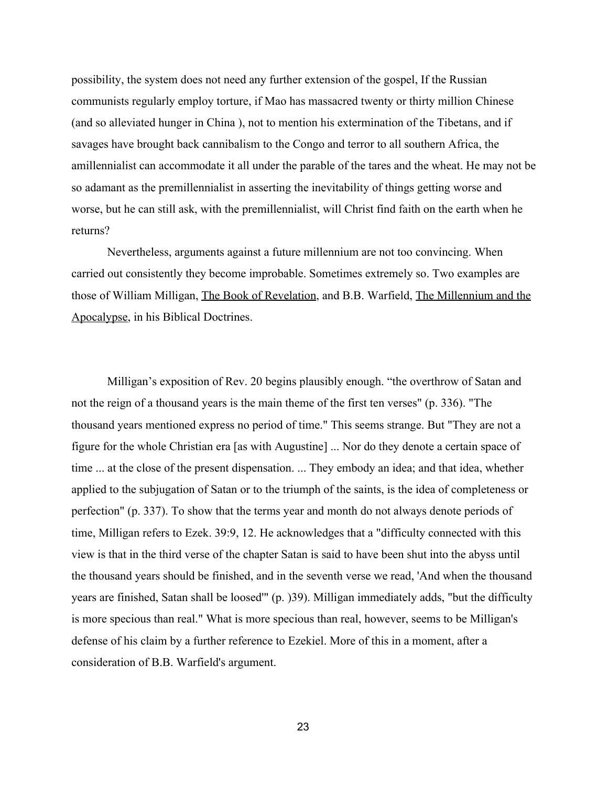possibility, the system does not need any further extension of the gospel, If the Russian communists regularly employ torture, if Mao has massacred twenty or thirty million Chinese (and so alleviated hunger in China ), not to mention his extermination of the Tibetans, and if savages have brought back cannibalism to the Congo and terror to all southern Africa, the amillennialist can accommodate it all under the parable of the tares and the wheat. He may not be so adamant as the premillennialist in asserting the inevitability of things getting worse and worse, but he can still ask, with the premillennialist, will Christ find faith on the earth when he returns?

Nevertheless, arguments against a future millennium are not too convincing. When carried out consistently they become improbable. Sometimes extremely so. Two examples are those of William Milligan, The Book of Revelation, and B.B. Warfield, The Millennium and the Apocalypse, in his Biblical Doctrines.

Milligan's exposition of Rev. 20 begins plausibly enough. "the overthrow of Satan and not the reign of a thousand years is the main theme of the first ten verses" (p. 336). "The thousand years mentioned express no period of time." This seems strange. But "They are not a figure for the whole Christian era [as with Augustine] ... Nor do they denote a certain space of time ... at the close of the present dispensation. ... They embody an idea; and that idea, whether applied to the subjugation of Satan or to the triumph of the saints, is the idea of completeness or perfection" (p. 337). To show that the terms year and month do not always denote periods of time, Milligan refers to Ezek. 39:9, 12. He acknowledges that a "difficulty connected with this view is that in the third verse of the chapter Satan is said to have been shut into the abyss until the thousand years should be finished, and in the seventh verse we read, 'And when the thousand years are finished, Satan shall be loosed'" (p. )39). Milligan immediately adds, "but the difficulty is more specious than real." What is more specious than real, however, seems to be Milligan's defense of his claim by a further reference to Ezekiel. More of this in a moment, after a consideration of B.B. Warfield's argument.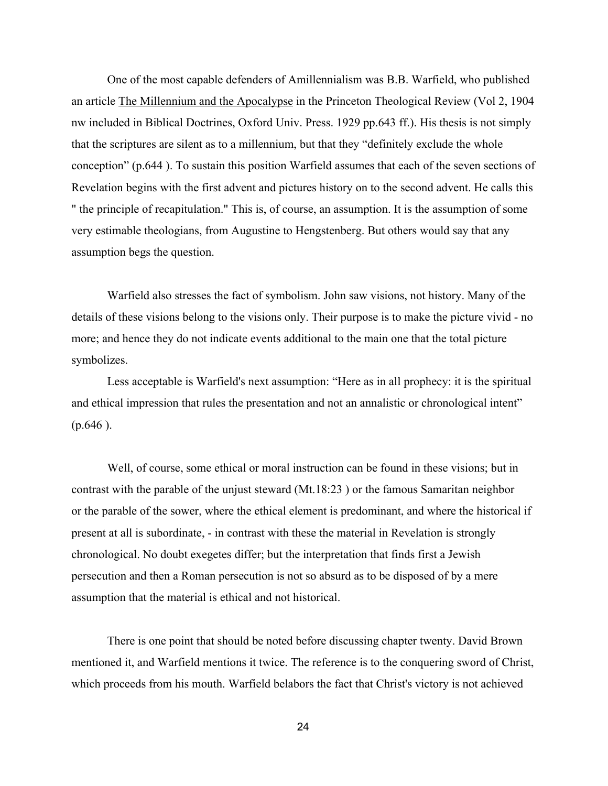One of the most capable defenders of Amillennialism was B.B. Warfield, who published an article The Millennium and the Apocalypse in the Princeton Theological Review (Vol 2, 1904 nw included in Biblical Doctrines, Oxford Univ. Press. 1929 pp.643 ff.). His thesis is not simply that the scriptures are silent as to a millennium, but that they "definitely exclude the whole conception" (p.644 ). To sustain this position Warfield assumes that each of the seven sections of Revelation begins with the first advent and pictures history on to the second advent. He calls this " the principle of recapitulation." This is, of course, an assumption. It is the assumption of some very estimable theologians, from Augustine to Hengstenberg. But others would say that any assumption begs the question.

Warfield also stresses the fact of symbolism. John saw visions, not history. Many of the details of these visions belong to the visions only. Their purpose is to make the picture vivid - no more; and hence they do not indicate events additional to the main one that the total picture symbolizes.

Less acceptable is Warfield's next assumption: "Here as in all prophecy: it is the spiritual and ethical impression that rules the presentation and not an annalistic or chronological intent" (p.646 ).

Well, of course, some ethical or moral instruction can be found in these visions; but in contrast with the parable of the unjust steward (Mt.18:23 ) or the famous Samaritan neighbor or the parable of the sower, where the ethical element is predominant, and where the historical if present at all is subordinate, - in contrast with these the material in Revelation is strongly chronological. No doubt exegetes differ; but the interpretation that finds first a Jewish persecution and then a Roman persecution is not so absurd as to be disposed of by a mere assumption that the material is ethical and not historical.

There is one point that should be noted before discussing chapter twenty. David Brown mentioned it, and Warfield mentions it twice. The reference is to the conquering sword of Christ, which proceeds from his mouth. Warfield belabors the fact that Christ's victory is not achieved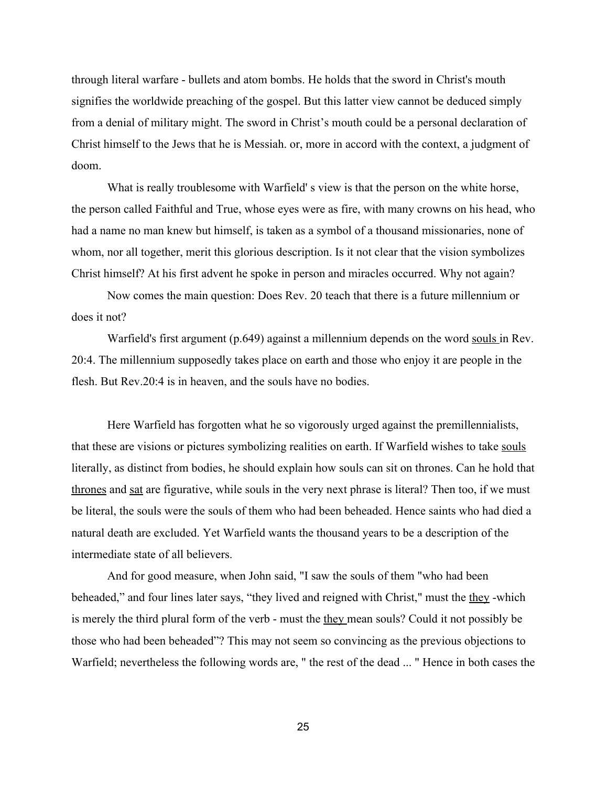through literal warfare bullets and atom bombs. He holds that the sword in Christ's mouth signifies the worldwide preaching of the gospel. But this latter view cannot be deduced simply from a denial of military might. The sword in Christ's mouth could be a personal declaration of Christ himself to the Jews that he is Messiah. or, more in accord with the context, a judgment of doom.

What is really troublesome with Warfield' s view is that the person on the white horse, the person called Faithful and True, whose eyes were as fire, with many crowns on his head, who had a name no man knew but himself, is taken as a symbol of a thousand missionaries, none of whom, nor all together, merit this glorious description. Is it not clear that the vision symbolizes Christ himself? At his first advent he spoke in person and miracles occurred. Why not again?

Now comes the main question: Does Rev. 20 teach that there is a future millennium or does it not?

Warfield's first argument (p.649) against a millennium depends on the word souls in Rev. 20:4. The millennium supposedly takes place on earth and those who enjoy it are people in the flesh. But Rev.20:4 is in heaven, and the souls have no bodies.

Here Warfield has forgotten what he so vigorously urged against the premillennialists, that these are visions or pictures symbolizing realities on earth. If Warfield wishes to take souls literally, as distinct from bodies, he should explain how souls can sit on thrones. Can he hold that thrones and sat are figurative, while souls in the very next phrase is literal? Then too, if we must be literal, the souls were the souls of them who had been beheaded. Hence saints who had died a natural death are excluded. Yet Warfield wants the thousand years to be a description of the intermediate state of all believers.

And for good measure, when John said, "I saw the souls of them "who had been beheaded," and four lines later says, "they lived and reigned with Christ," must the they-which is merely the third plural form of the verb - must the they mean souls? Could it not possibly be those who had been beheaded"? This may not seem so convincing as the previous objections to Warfield; nevertheless the following words are, " the rest of the dead ... " Hence in both cases the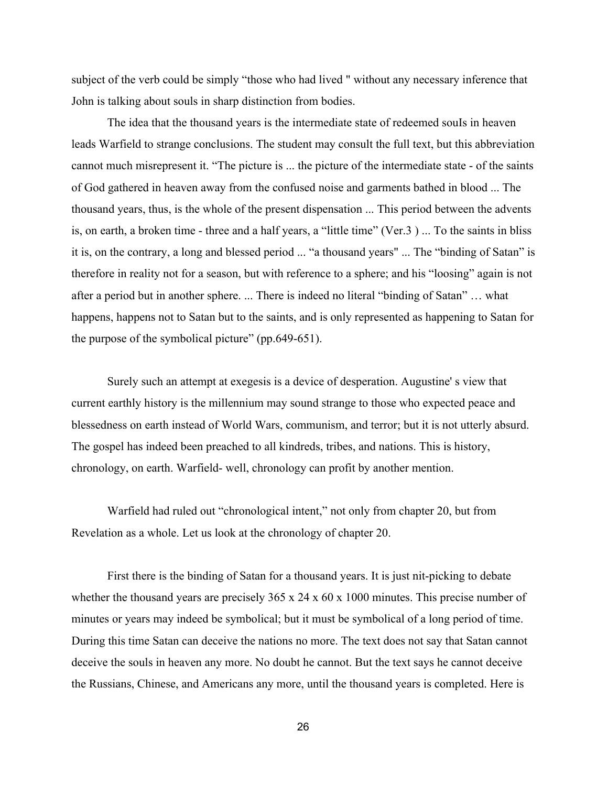subject of the verb could be simply "those who had lived " without any necessary inference that John is talking about souls in sharp distinction from bodies.

The idea that the thousand years is the intermediate state of redeemed souIs in heaven leads Warfield to strange conclusions. The student may consult the full text, but this abbreviation cannot much misrepresent it. "The picture is ... the picture of the intermediate state - of the saints of God gathered in heaven away from the confused noise and garments bathed in blood ... The thousand years, thus, is the whole of the present dispensation ... This period between the advents is, on earth, a broken time - three and a half years, a "little time" (Ver.3) ... To the saints in bliss it is, on the contrary, a long and blessed period ... "a thousand years" ... The "binding of Satan" is therefore in reality not for a season, but with reference to a sphere; and his "loosing" again is not after a period but in another sphere. ... There is indeed no literal "binding of Satan" … what happens, happens not to Satan but to the saints, and is only represented as happening to Satan for the purpose of the symbolical picture" (pp.649-651).

Surely such an attempt at exegesis is a device of desperation. Augustine' s view that current earthly history is the millennium may sound strange to those who expected peace and blessedness on earth instead of World Wars, communism, and terror; but it is not utterly absurd. The gospel has indeed been preached to all kindreds, tribes, and nations. This is history, chronology, on earth. Warfield- well, chronology can profit by another mention.

Warfield had ruled out "chronological intent," not only from chapter 20, but from Revelation as a whole. Let us look at the chronology of chapter 20.

First there is the binding of Satan for a thousand years. It is just nit-picking to debate whether the thousand years are precisely 365 x 24 x 60 x 1000 minutes. This precise number of minutes or years may indeed be symbolical; but it must be symbolical of a long period of time. During this time Satan can deceive the nations no more. The text does not say that Satan cannot deceive the souls in heaven any more. No doubt he cannot. But the text says he cannot deceive the Russians, Chinese, and Americans any more, until the thousand years is completed. Here is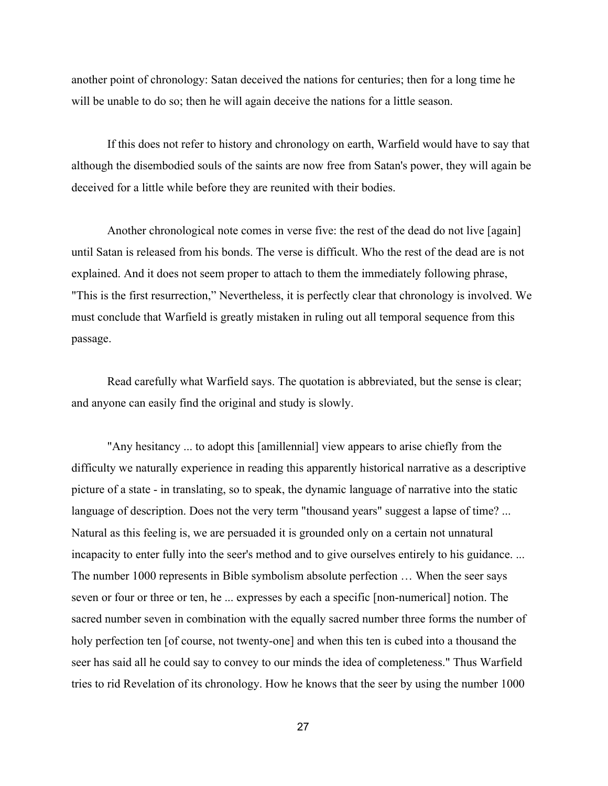another point of chronology: Satan deceived the nations for centuries; then for a long time he will be unable to do so; then he will again deceive the nations for a little season.

If this does not refer to history and chronology on earth, Warfield would have to say that although the disembodied souls of the saints are now free from Satan's power, they will again be deceived for a little while before they are reunited with their bodies.

Another chronological note comes in verse five: the rest of the dead do not live [again] until Satan is released from his bonds. The verse is difficult. Who the rest of the dead are is not explained. And it does not seem proper to attach to them the immediately following phrase, "This is the first resurrection," Nevertheless, it is perfectly clear that chronology is involved. We must conclude that Warfield is greatly mistaken in ruling out all temporal sequence from this passage.

Read carefully what Warfield says. The quotation is abbreviated, but the sense is clear; and anyone can easily find the original and study is slowly.

"Any hesitancy ... to adopt this [amillennial] view appears to arise chiefly from the difficulty we naturally experience in reading this apparently historical narrative as a descriptive picture of a state - in translating, so to speak, the dynamic language of narrative into the static language of description. Does not the very term "thousand years" suggest a lapse of time? ... Natural as this feeling is, we are persuaded it is grounded only on a certain not unnatural incapacity to enter fully into the seer's method and to give ourselves entirely to his guidance. ... The number 1000 represents in Bible symbolism absolute perfection … When the seer says seven or four or three or ten, he ... expresses by each a specific [non-numerical] notion. The sacred number seven in combination with the equally sacred number three forms the number of holy perfection ten [of course, not twenty-one] and when this ten is cubed into a thousand the seer has said all he could say to convey to our minds the idea of completeness." Thus Warfield tries to rid Revelation of its chronology. How he knows that the seer by using the number 1000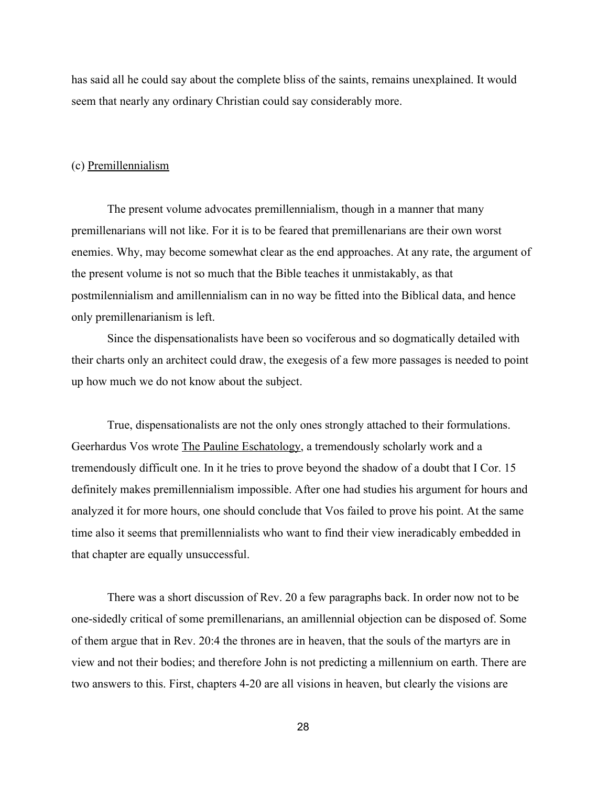has said all he could say about the complete bliss of the saints, remains unexplained. It would seem that nearly any ordinary Christian could say considerably more.

## (c) Premillennialism

The present volume advocates premillennialism, though in a manner that many premillenarians will not like. For it is to be feared that premillenarians are their own worst enemies. Why, may become somewhat clear as the end approaches. At any rate, the argument of the present volume is not so much that the Bible teaches it unmistakably, as that postmilennialism and amillennialism can in no way be fitted into the Biblical data, and hence only premillenarianism is left.

Since the dispensationalists have been so vociferous and so dogmatically detailed with their charts only an architect could draw, the exegesis of a few more passages is needed to point up how much we do not know about the subject.

True, dispensationalists are not the only ones strongly attached to their formulations. Geerhardus Vos wrote The Pauline Eschatology, a tremendously scholarly work and a tremendously difficult one. In it he tries to prove beyond the shadow of a doubt that I Cor. 15 definitely makes premillennialism impossible. After one had studies his argument for hours and analyzed it for more hours, one should conclude that Vos failed to prove his point. At the same time also it seems that premillennialists who want to find their view ineradicably embedded in that chapter are equally unsuccessful.

There was a short discussion of Rev. 20 a few paragraphs back. In order now not to be one-sidedly critical of some premillenarians, an amillennial objection can be disposed of. Some of them argue that in Rev. 20:4 the thrones are in heaven, that the souls of the martyrs are in view and not their bodies; and therefore John is not predicting a millennium on earth. There are two answers to this. First, chapters 420 are all visions in heaven, but clearly the visions are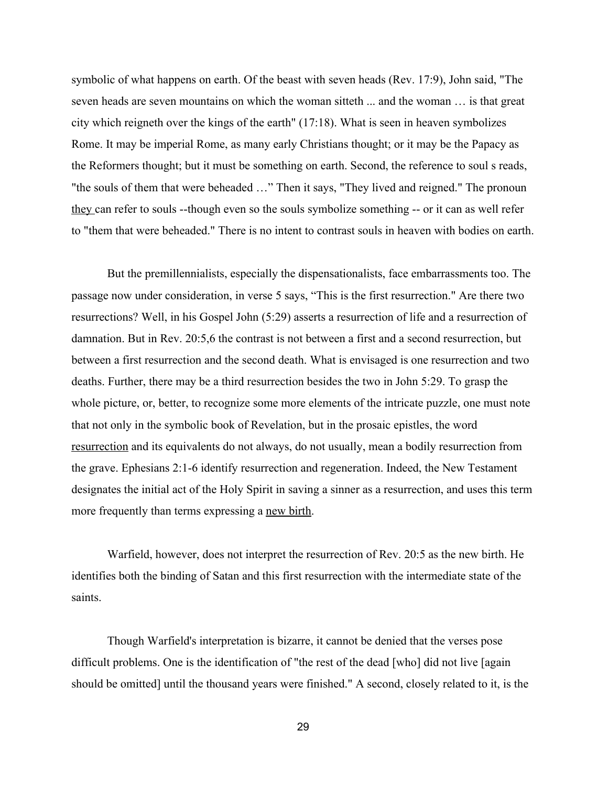symbolic of what happens on earth. Of the beast with seven heads (Rev. 17:9), John said, "The seven heads are seven mountains on which the woman sitteth ... and the woman … is that great city which reigneth over the kings of the earth" (17:18). What is seen in heaven symbolizes Rome. It may be imperial Rome, as many early Christians thought; or it may be the Papacy as the Reformers thought; but it must be something on earth. Second, the reference to soul s reads, "the souls of them that were beheaded …" Then it says, "They lived and reigned." The pronoun they can refer to souls --though even so the souls symbolize something -- or it can as well refer to "them that were beheaded." There is no intent to contrast souls in heaven with bodies on earth.

But the premillennialists, especially the dispensationalists, face embarrassments too. The passage now under consideration, in verse 5 says, "This is the first resurrection." Are there two resurrections? Well, in his Gospel John (5:29) asserts a resurrection of life and a resurrection of damnation. But in Rev. 20:5,6 the contrast is not between a first and a second resurrection, but between a first resurrection and the second death. What is envisaged is one resurrection and two deaths. Further, there may be a third resurrection besides the two in John 5:29. To grasp the whole picture, or, better, to recognize some more elements of the intricate puzzle, one must note that not only in the symbolic book of Revelation, but in the prosaic epistles, the word resurrection and its equivalents do not always, do not usually, mean a bodily resurrection from the grave. Ephesians 2:1-6 identify resurrection and regeneration. Indeed, the New Testament designates the initial act of the Holy Spirit in saving a sinner as a resurrection, and uses this term more frequently than terms expressing a new birth.

Warfield, however, does not interpret the resurrection of Rev. 20:5 as the new birth. He identifies both the binding of Satan and this first resurrection with the intermediate state of the saints.

Though Warfield's interpretation is bizarre, it cannot be denied that the verses pose difficult problems. One is the identification of "the rest of the dead [who] did not live [again should be omitted] until the thousand years were finished." A second, closely related to it, is the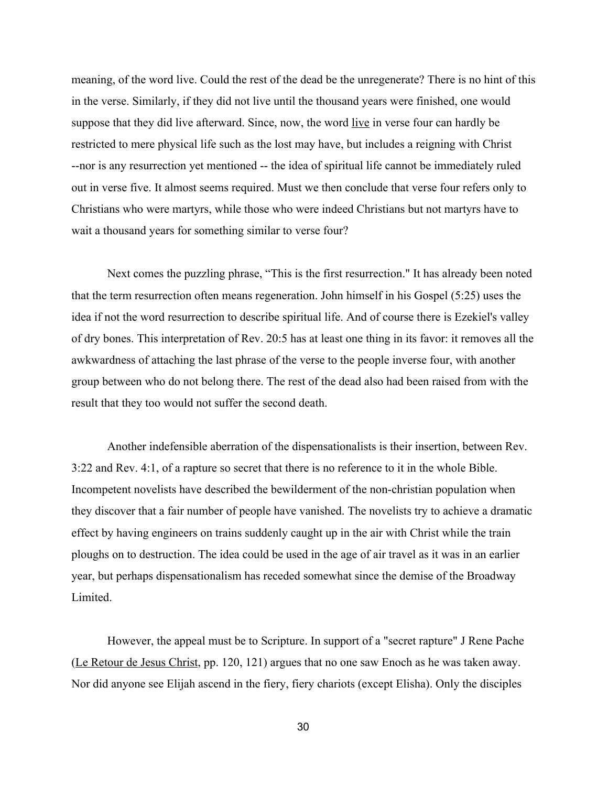meaning, of the word live. Could the rest of the dead be the unregenerate? There is no hint of this in the verse. Similarly, if they did not live until the thousand years were finished, one would suppose that they did live afterward. Since, now, the word live in verse four can hardly be restricted to mere physical life such as the lost may have, but includes a reigning with Christ --nor is any resurrection yet mentioned -- the idea of spiritual life cannot be immediately ruled out in verse five. It almost seems required. Must we then conclude that verse four refers only to Christians who were martyrs, while those who were indeed Christians but not martyrs have to wait a thousand years for something similar to verse four?

Next comes the puzzling phrase, "This is the first resurrection." It has already been noted that the term resurrection often means regeneration. John himself in his Gospel (5:25) uses the idea if not the word resurrection to describe spiritual life. And of course there is Ezekiel's valley of dry bones. This interpretation of Rev. 20:5 has at least one thing in its favor: it removes all the awkwardness of attaching the last phrase of the verse to the people inverse four, with another group between who do not belong there. The rest of the dead also had been raised from with the result that they too would not suffer the second death.

Another indefensible aberration of the dispensationalists is their insertion, between Rev. 3:22 and Rev. 4:1, of a rapture so secret that there is no reference to it in the whole Bible. Incompetent novelists have described the bewilderment of the non-christian population when they discover that a fair number of people have vanished. The novelists try to achieve a dramatic effect by having engineers on trains suddenly caught up in the air with Christ while the train ploughs on to destruction. The idea could be used in the age of air travel as it was in an earlier year, but perhaps dispensationalism has receded somewhat since the demise of the Broadway **Limited** 

However, the appeal must be to Scripture. In support of a "secret rapture" J Rene Pache (Le Retour de Jesus Christ, pp. 120, 121) argues that no one saw Enoch as he was taken away. Nor did anyone see Elijah ascend in the fiery, fiery chariots (except Elisha). Only the disciples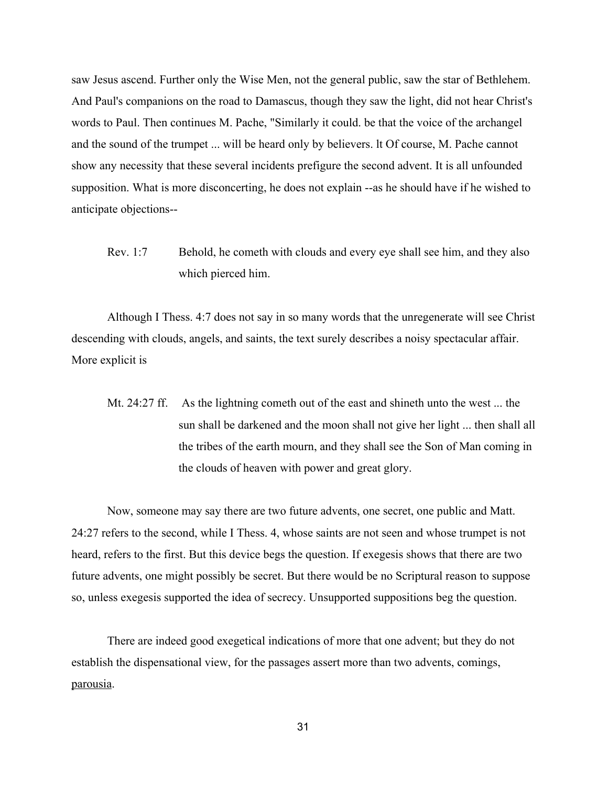saw Jesus ascend. Further only the Wise Men, not the general public, saw the star of Bethlehem. And Paul's companions on the road to Damascus, though they saw the light, did not hear Christ's words to Paul. Then continues M. Pache, "Similarly it could. be that the voice of the archangel and the sound of the trumpet ... will be heard only by believers. lt Of course, M. Pache cannot show any necessity that these several incidents prefigure the second advent. It is all unfounded supposition. What is more disconcerting, he does not explain --as he should have if he wished to anticipate objections

Rev. 1:7 Behold, he cometh with clouds and every eye shall see him, and they also which pierced him.

Although I Thess. 4:7 does not say in so many words that the unregenerate will see Christ descending with clouds, angels, and saints, the text surely describes a noisy spectacular affair. More explicit is

Mt. 24:27 ff. As the lightning cometh out of the east and shineth unto the west ... the sun shall be darkened and the moon shall not give her light ... then shall all the tribes of the earth mourn, and they shall see the Son of Man coming in the clouds of heaven with power and great glory.

Now, someone may say there are two future advents, one secret, one public and Matt. 24:27 refers to the second, while I Thess. 4, whose saints are not seen and whose trumpet is not heard, refers to the first. But this device begs the question. If exegesis shows that there are two future advents, one might possibly be secret. But there would be no Scriptural reason to suppose so, unless exegesis supported the idea of secrecy. Unsupported suppositions beg the question.

There are indeed good exegetical indications of more that one advent; but they do not establish the dispensational view, for the passages assert more than two advents, comings, parousia.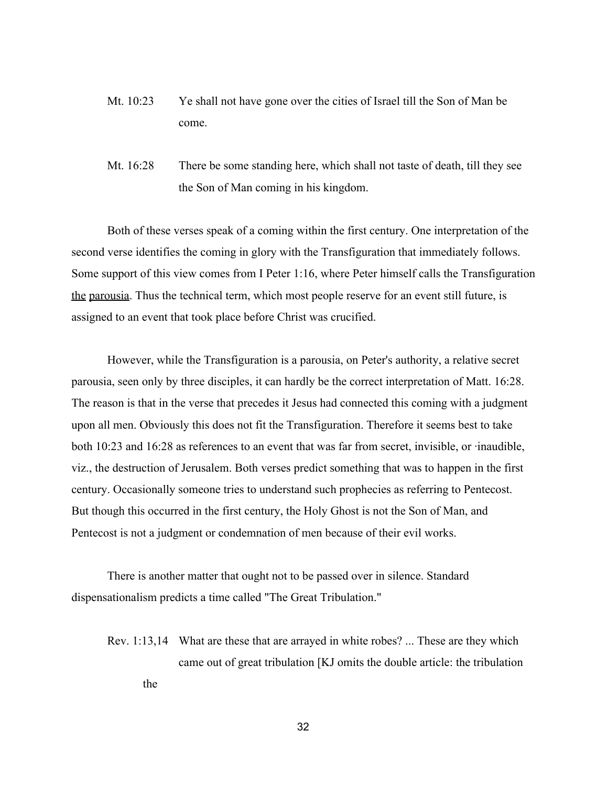- Mt. 10:23 Ye shall not have gone over the cities of Israel till the Son of Man be come.
- Mt. 16:28 There be some standing here, which shall not taste of death, till they see the Son of Man coming in his kingdom.

Both of these verses speak of a coming within the first century. One interpretation of the second verse identifies the coming in glory with the Transfiguration that immediately follows. Some support of this view comes from I Peter 1:16, where Peter himself calls the Transfiguration the parousia. Thus the technical term, which most people reserve for an event still future, is assigned to an event that took place before Christ was crucified.

However, while the Transfiguration is a parousia, on Peter's authority, a relative secret parousia, seen only by three disciples, it can hardly be the correct interpretation of Matt. 16:28. The reason is that in the verse that precedes it Jesus had connected this coming with a judgment upon all men. Obviously this does not fit the Transfiguration. Therefore it seems best to take both 10:23 and 16:28 as references to an event that was far from secret, invisible, or ∙inaudible, viz., the destruction of Jerusalem. Both verses predict something that was to happen in the first century. Occasionally someone tries to understand such prophecies as referring to Pentecost. But though this occurred in the first century, the Holy Ghost is not the Son of Man, and Pentecost is not a judgment or condemnation of men because of their evil works.

There is another matter that ought not to be passed over in silence. Standard dispensationalism predicts a time called "The Great Tribulation."

Rev. 1:13,14 What are these that are arrayed in white robes? ... These are they which came out of great tribulation [KJ omits the double article: the tribulation the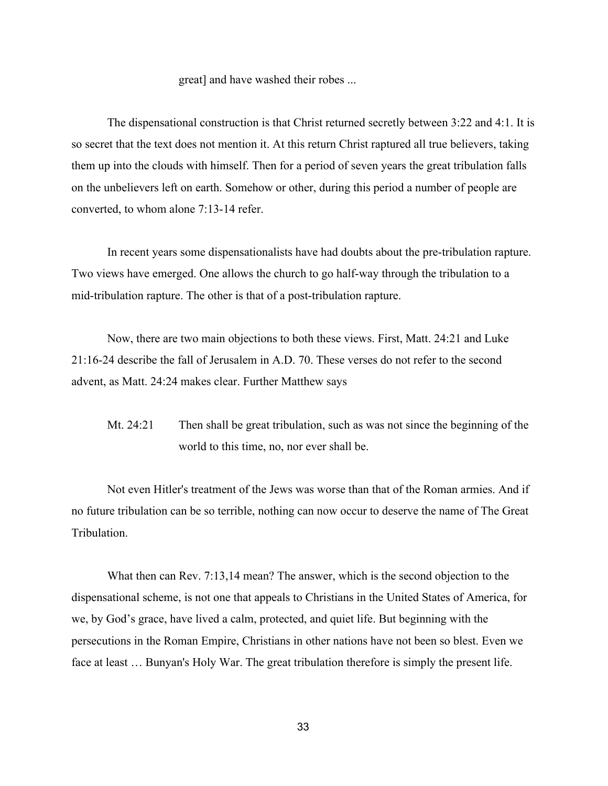#### great] and have washed their robes ...

The dispensational construction is that Christ returned secretly between 3:22 and 4:1. It is so secret that the text does not mention it. At this return Christ raptured all true believers, taking them up into the clouds with himself. Then for a period of seven years the great tribulation falls on the unbelievers left on earth. Somehow or other, during this period a number of people are converted, to whom alone 7:13-14 refer.

In recent years some dispensationalists have had doubts about the pre-tribulation rapture. Two views have emerged. One allows the church to go half-way through the tribulation to a mid-tribulation rapture. The other is that of a post-tribulation rapture.

Now, there are two main objections to both these views. First, Matt. 24:21 and Luke 21:1624 describe the fall of Jerusalem in A.D. 70. These verses do not refer to the second advent, as Matt. 24:24 makes clear. Further Matthew says

Mt. 24:21 Then shall be great tribulation, such as was not since the beginning of the world to this time, no, nor ever shall be.

Not even Hitler's treatment of the Jews was worse than that of the Roman armies. And if no future tribulation can be so terrible, nothing can now occur to deserve the name of The Great **Tribulation** 

What then can Rev. 7:13,14 mean? The answer, which is the second objection to the dispensational scheme, is not one that appeals to Christians in the United States of America, for we, by God's grace, have lived a calm, protected, and quiet life. But beginning with the persecutions in the Roman Empire, Christians in other nations have not been so blest. Even we face at least … Bunyan's Holy War. The great tribulation therefore is simply the present life.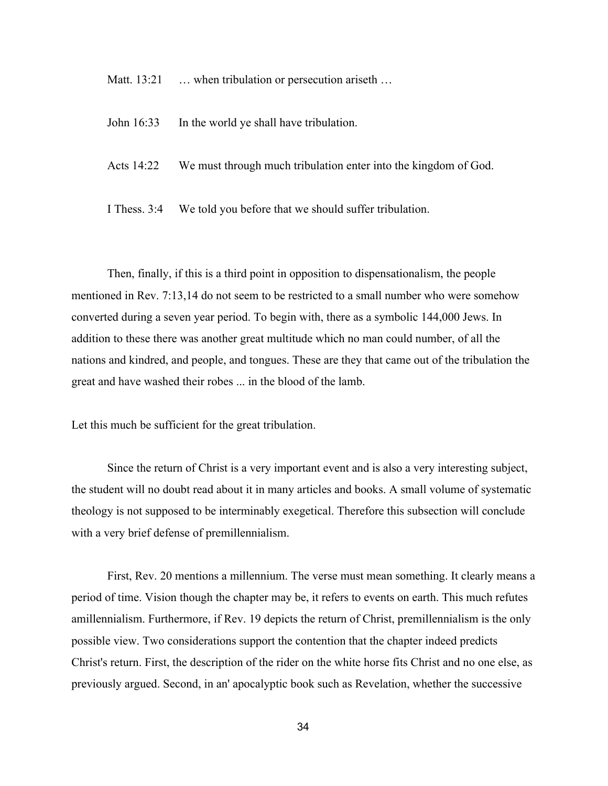Matt. 13:21 … when tribulation or persecution ariseth …

- John 16:33 In the world ye shall have tribulation.
- Acts 14:22 We must through much tribulation enter into the kingdom of God.

I Thess. 3:4 We told you before that we should suffer tribulation.

Then, finally, if this is a third point in opposition to dispensationalism, the people mentioned in Rev. 7:13,14 do not seem to be restricted to a small number who were somehow converted during a seven year period. To begin with, there as a symbolic 144,000 Jews. In addition to these there was another great multitude which no man could number, of all the nations and kindred, and people, and tongues. These are they that came out of the tribulation the great and have washed their robes ... in the blood of the lamb.

Let this much be sufficient for the great tribulation.

Since the return of Christ is a very important event and is also a very interesting subject, the student will no doubt read about it in many articles and books. A small volume of systematic theology is not supposed to be interminably exegetical. Therefore this subsection will conclude with a very brief defense of premillennialism.

First, Rev. 20 mentions a millennium. The verse must mean something. It clearly means a period of time. Vision though the chapter may be, it refers to events on earth. This much refutes amillennialism. Furthermore, if Rev. 19 depicts the return of Christ, premillennialism is the only possible view. Two considerations support the contention that the chapter indeed predicts Christ's return. First, the description of the rider on the white horse fits Christ and no one else, as previously argued. Second, in an' apocalyptic book such as Revelation, whether the successive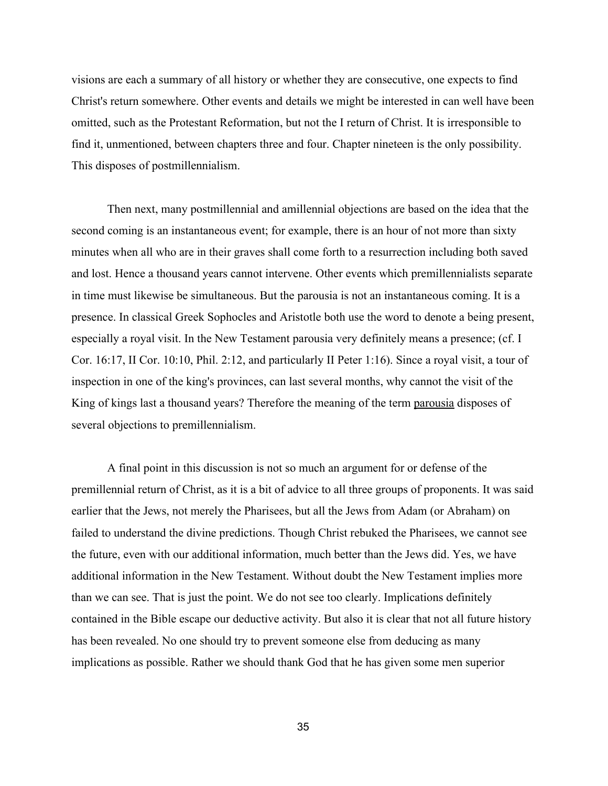visions are each a summary of all history or whether they are consecutive, one expects to find Christ's return somewhere. Other events and details we might be interested in can well have been omitted, such as the Protestant Reformation, but not the I return of Christ. It is irresponsible to find it, unmentioned, between chapters three and four. Chapter nineteen is the only possibility. This disposes of postmillennialism.

Then next, many postmillennial and amillennial objections are based on the idea that the second coming is an instantaneous event; for example, there is an hour of not more than sixty minutes when all who are in their graves shall come forth to a resurrection including both saved and lost. Hence a thousand years cannot intervene. Other events which premillennialists separate in time must likewise be simultaneous. But the parousia is not an instantaneous coming. It is a presence. In classical Greek Sophocles and Aristotle both use the word to denote a being present, especially a royal visit. In the New Testament parousia very definitely means a presence; (cf. I Cor. 16:17, II Cor. 10:10, Phil. 2:12, and particularly II Peter 1:16). Since a royal visit, a tour of inspection in one of the king's provinces, can last several months, why cannot the visit of the King of kings last a thousand years? Therefore the meaning of the term parousia disposes of several objections to premillennialism.

A final point in this discussion is not so much an argument for or defense of the premillennial return of Christ, as it is a bit of advice to all three groups of proponents. It was said earlier that the Jews, not merely the Pharisees, but all the Jews from Adam (or Abraham) on failed to understand the divine predictions. Though Christ rebuked the Pharisees, we cannot see the future, even with our additional information, much better than the Jews did. Yes, we have additional information in the New Testament. Without doubt the New Testament implies more than we can see. That is just the point. We do not see too clearly. Implications definitely contained in the Bible escape our deductive activity. But also it is clear that not all future history has been revealed. No one should try to prevent someone else from deducing as many implications as possible. Rather we should thank God that he has given some men superior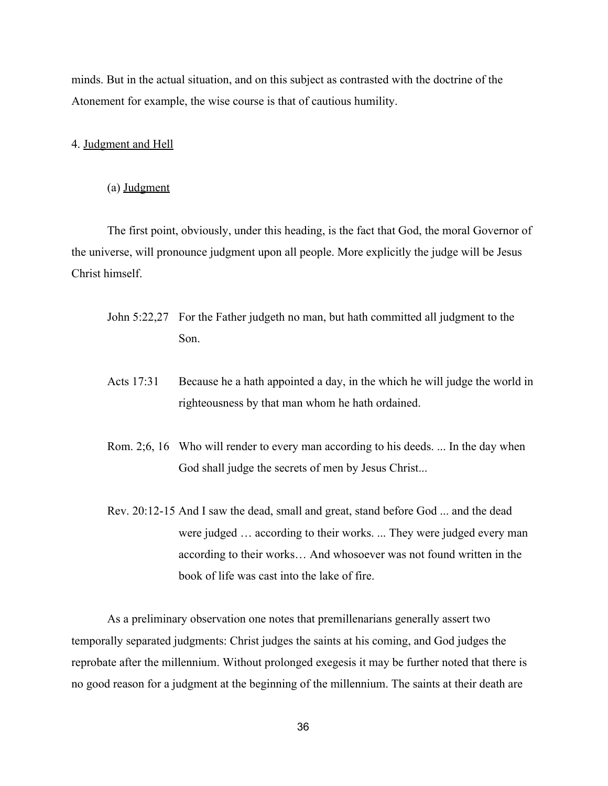minds. But in the actual situation, and on this subject as contrasted with the doctrine of the Atonement for example, the wise course is that of cautious humility.

### 4. Judgment and Hell

(a) Judgment

The first point, obviously, under this heading, is the fact that God, the moral Governor of the universe, will pronounce judgment upon all people. More explicitly the judge will be Jesus Christ himself.

- John 5:22,27 For the Father judgeth no man, but hath committed all judgment to the Son.
- Acts 17:31 Because he a hath appointed a day, in the which he will judge the world in righteousness by that man whom he hath ordained.
- Rom. 2;6, 16 Who will render to every man according to his deeds. ... In the day when God shall judge the secrets of men by Jesus Christ...
- Rev. 20:12-15 And I saw the dead, small and great, stand before God ... and the dead were judged … according to their works. ... They were judged every man according to their works… And whosoever was not found written in the book of life was cast into the lake of fire.

As a preliminary observation one notes that premillenarians generally assert two temporally separated judgments: Christ judges the saints at his coming, and God judges the reprobate after the millennium. Without prolonged exegesis it may be further noted that there is no good reason for a judgment at the beginning of the millennium. The saints at their death are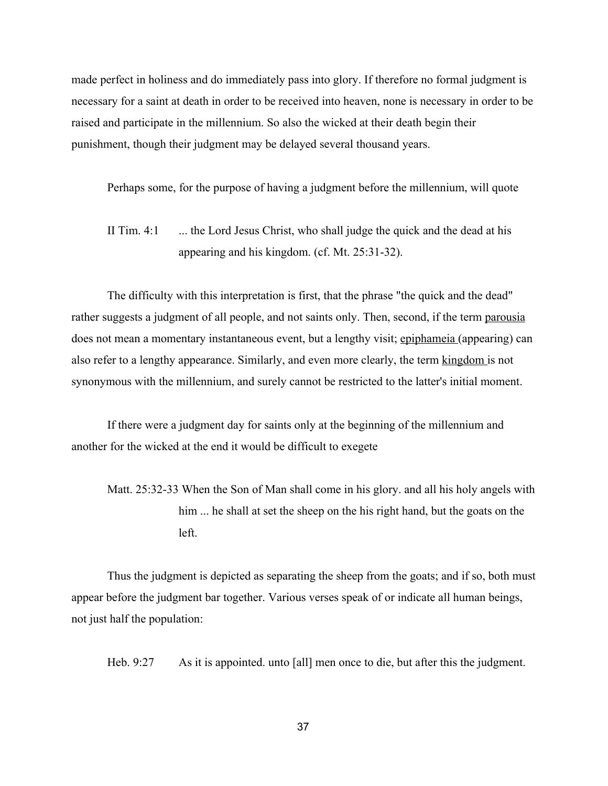made perfect in holiness and do immediately pass into glory. If therefore no formal judgment is necessary for a saint at death in order to be received into heaven, none is necessary in order to be raised and participate in the millennium. So also the wicked at their death begin their punishment, though their judgment may be delayed several thousand years.

Perhaps some, for the purpose of having a judgment before the millennium, will quote

II Tim.  $4:1 \dots$  the Lord Jesus Christ, who shall judge the quick and the dead at his appearing and his kingdom. (cf. Mt.  $25:31-32$ ).

The difficulty with this interpretation is first, that the phrase "the quick and the dead" rather suggests a judgment of all people, and not saints only. Then, second, if the term parousia does not mean a momentary instantaneous event, but a lengthy visit; epiphameia (appearing) can also refer to a lengthy appearance. Similarly, and even more clearly, the term kingdom is not synonymous with the millennium, and surely cannot be restricted to the latter's initial moment.

If there were a judgment day for saints only at the beginning of the millennium and another for the wicked at the end it would be difficult to exegete

Matt.  $25:32-33$  When the Son of Man shall come in his glory, and all his holy angels with him ... he shall at set the sheep on the his right hand, but the goats on the left.

Thus the judgment is depicted as separating the sheep from the goats; and if so, both must appear before the judgment bar together. Various verses speak of or indicate all human beings, not just half the population:

Heb. 9:27 As it is appointed. unto [all] men once to die, but after this the judgment.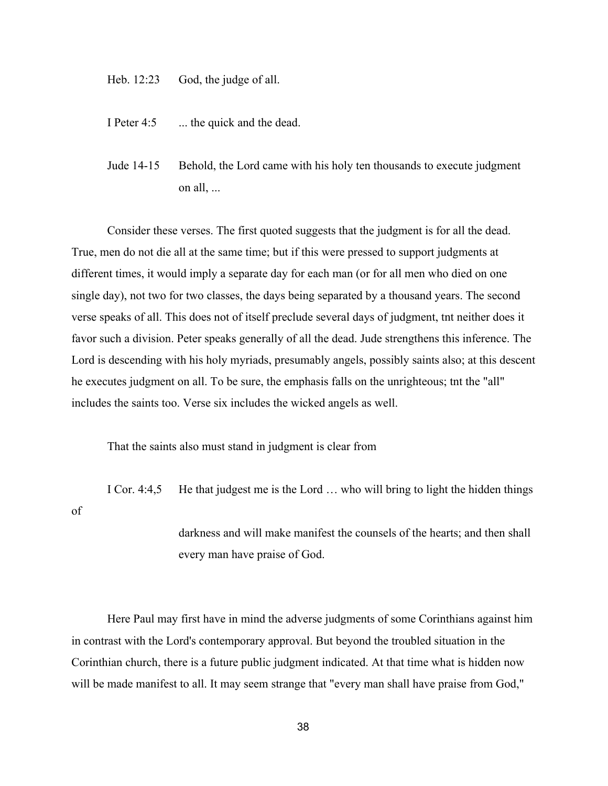Heb. 12:23 God, the judge of all.

I Peter 4:5 ... the quick and the dead.

Jude 14-15 Behold, the Lord came with his holy ten thousands to execute judgment on all, ...

Consider these verses. The first quoted suggests that the judgment is for all the dead. True, men do not die all at the same time; but if this were pressed to support judgments at different times, it would imply a separate day for each man (or for all men who died on one single day), not two for two classes, the days being separated by a thousand years. The second verse speaks of all. This does not of itself preclude several days of judgment, tnt neither does it favor such a division. Peter speaks generally of all the dead. Jude strengthens this inference. The Lord is descending with his holy myriads, presumably angels, possibly saints also; at this descent he executes judgment on all. To be sure, the emphasis falls on the unrighteous; tnt the "all" includes the saints too. Verse six includes the wicked angels as well.

That the saints also must stand in judgment is clear from

I Cor. 4:4,5 He that judgest me is the Lord … who will bring to light the hidden things

of

darkness and will make manifest the counsels of the hearts; and then shall every man have praise of God.

Here Paul may first have in mind the adverse judgments of some Corinthians against him in contrast with the Lord's contemporary approval. But beyond the troubled situation in the Corinthian church, there is a future public judgment indicated. At that time what is hidden now will be made manifest to all. It may seem strange that "every man shall have praise from God,"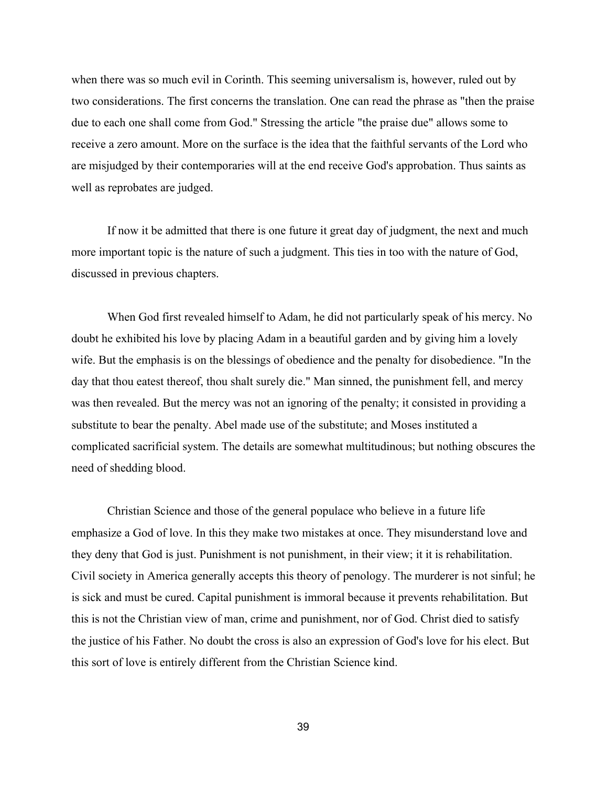when there was so much evil in Corinth. This seeming universalism is, however, ruled out by two considerations. The first concerns the translation. One can read the phrase as "then the praise due to each one shall come from God." Stressing the article "the praise due" allows some to receive a zero amount. More on the surface is the idea that the faithful servants of the Lord who are misjudged by their contemporaries will at the end receive God's approbation. Thus saints as well as reprobates are judged.

If now it be admitted that there is one future it great day of judgment, the next and much more important topic is the nature of such a judgment. This ties in too with the nature of God, discussed in previous chapters.

When God first revealed himself to Adam, he did not particularly speak of his mercy. No doubt he exhibited his love by placing Adam in a beautiful garden and by giving him a lovely wife. But the emphasis is on the blessings of obedience and the penalty for disobedience. "In the day that thou eatest thereof, thou shalt surely die." Man sinned, the punishment fell, and mercy was then revealed. But the mercy was not an ignoring of the penalty; it consisted in providing a substitute to bear the penalty. Abel made use of the substitute; and Moses instituted a complicated sacrificial system. The details are somewhat multitudinous; but nothing obscures the need of shedding blood.

Christian Science and those of the general populace who believe in a future life emphasize a God of love. In this they make two mistakes at once. They misunderstand love and they deny that God is just. Punishment is not punishment, in their view; it it is rehabilitation. Civil society in America generally accepts this theory of penology. The murderer is not sinful; he is sick and must be cured. Capital punishment is immoral because it prevents rehabilitation. But this is not the Christian view of man, crime and punishment, nor of God. Christ died to satisfy the justice of his Father. No doubt the cross is also an expression of God's love for his elect. But this sort of love is entirely different from the Christian Science kind.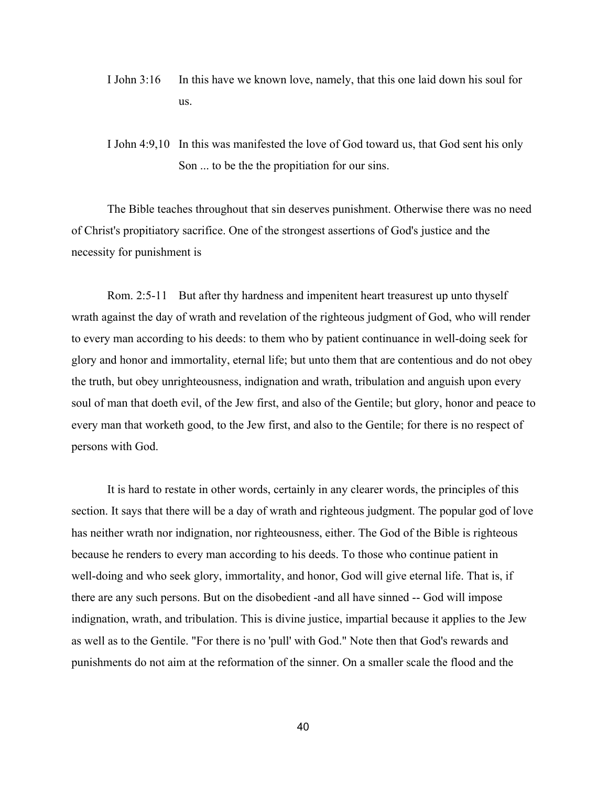- I John 3:16 In this have we known love, namely, that this one laid down his soul for us.
- I John 4:9,10 In this was manifested the love of God toward us, that God sent his only Son ... to be the the propitiation for our sins.

The Bible teaches throughout that sin deserves punishment. Otherwise there was no need of Christ's propitiatory sacrifice. One of the strongest assertions of God's justice and the necessity for punishment is

Rom. 2:5-11 But after thy hardness and impenitent heart treasurest up unto thyself wrath against the day of wrath and revelation of the righteous judgment of God, who will render to every man according to his deeds: to them who by patient continuance in well-doing seek for glory and honor and immortality, eternal life; but unto them that are contentious and do not obey the truth, but obey unrighteousness, indignation and wrath, tribulation and anguish upon every soul of man that doeth evil, of the Jew first, and also of the Gentile; but glory, honor and peace to every man that worketh good, to the Jew first, and also to the Gentile; for there is no respect of persons with God.

It is hard to restate in other words, certainly in any clearer words, the principles of this section. It says that there will be a day of wrath and righteous judgment. The popular god of love has neither wrath nor indignation, nor righteousness, either. The God of the Bible is righteous because he renders to every man according to his deeds. To those who continue patient in well-doing and who seek glory, immortality, and honor, God will give eternal life. That is, if there are any such persons. But on the disobedient - and all have sinned -- God will impose indignation, wrath, and tribulation. This is divine justice, impartial because it applies to the Jew as well as to the Gentile. "For there is no 'pull' with God." Note then that God's rewards and punishments do not aim at the reformation of the sinner. On a smaller scale the flood and the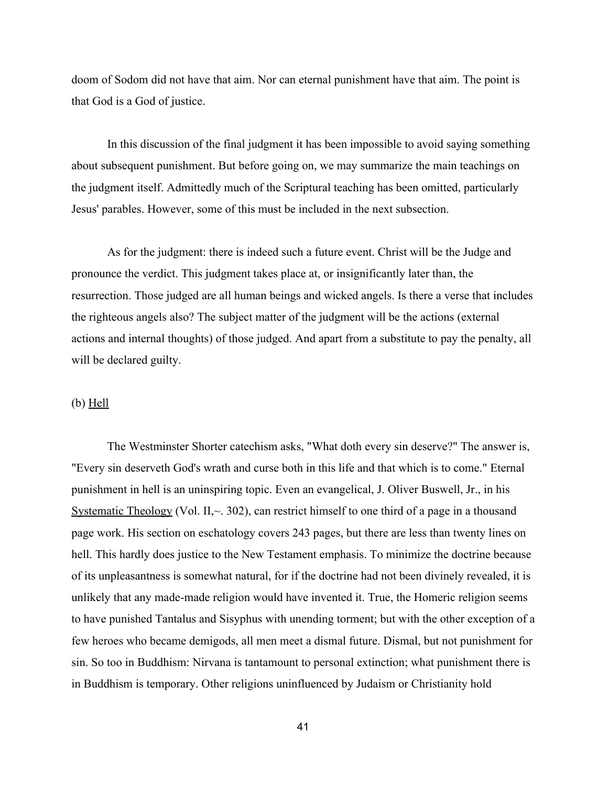doom of Sodom did not have that aim. Nor can eternal punishment have that aim. The point is that God is a God of justice.

In this discussion of the final judgment it has been impossible to avoid saying something about subsequent punishment. But before going on, we may summarize the main teachings on the judgment itself. Admittedly much of the Scriptural teaching has been omitted, particularly Jesus' parables. However, some of this must be included in the next subsection.

As for the judgment: there is indeed such a future event. Christ will be the Judge and pronounce the verdict. This judgment takes place at, or insignificantly later than, the resurrection. Those judged are all human beings and wicked angels. Is there a verse that includes the righteous angels also? The subject matter of the judgment will be the actions (external actions and internal thoughts) of those judged. And apart from a substitute to pay the penalty, all will be declared guilty.

## $(b)$  Hell

The Westminster Shorter catechism asks, "What doth every sin deserve?" The answer is, "Every sin deserveth God's wrath and curse both in this life and that which is to come." Eternal punishment in hell is an uninspiring topic. Even an evangelical, J. Oliver Buswell, Jr., in his Systematic Theology (Vol. II, $\sim$  302), can restrict himself to one third of a page in a thousand page work. His section on eschatology covers 243 pages, but there are less than twenty lines on hell. This hardly does justice to the New Testament emphasis. To minimize the doctrine because of its unpleasantness is somewhat natural, for if the doctrine had not been divinely revealed, it is unlikely that any made-made religion would have invented it. True, the Homeric religion seems to have punished Tantalus and Sisyphus with unending torment; but with the other exception of a few heroes who became demigods, all men meet a dismal future. Dismal, but not punishment for sin. So too in Buddhism: Nirvana is tantamount to personal extinction; what punishment there is in Buddhism is temporary. Other religions uninfluenced by Judaism or Christianity hold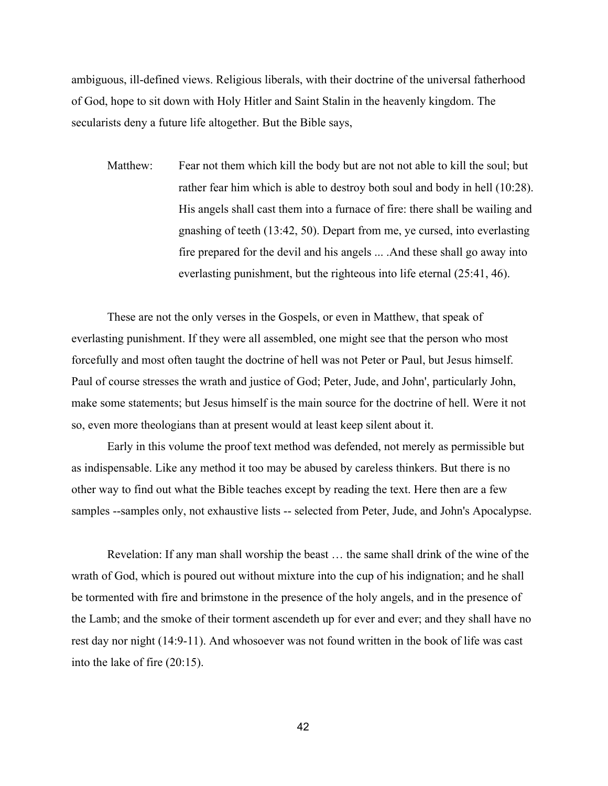ambiguous, ill-defined views. Religious liberals, with their doctrine of the universal fatherhood of God, hope to sit down with Holy Hitler and Saint Stalin in the heavenly kingdom. The secularists deny a future life altogether. But the Bible says,

Matthew: Fear not them which kill the body but are not not able to kill the soul; but rather fear him which is able to destroy both soul and body in hell (10:28). His angels shall cast them into a furnace of fire: there shall be wailing and gnashing of teeth (13:42, 50). Depart from me, ye cursed, into everlasting fire prepared for the devil and his angels ... .And these shall go away into everlasting punishment, but the righteous into life eternal (25:41, 46).

These are not the only verses in the Gospels, or even in Matthew, that speak of everlasting punishment. If they were all assembled, one might see that the person who most forcefully and most often taught the doctrine of hell was not Peter or Paul, but Jesus himself. Paul of course stresses the wrath and justice of God; Peter, Jude, and John', particularly John, make some statements; but Jesus himself is the main source for the doctrine of hell. Were it not so, even more theologians than at present would at least keep silent about it.

Early in this volume the proof text method was defended, not merely as permissible but as indispensable. Like any method it too may be abused by careless thinkers. But there is no other way to find out what the Bible teaches except by reading the text. Here then are a few samples --samples only, not exhaustive lists -- selected from Peter, Jude, and John's Apocalypse.

Revelation: If any man shall worship the beast … the same shall drink of the wine of the wrath of God, which is poured out without mixture into the cup of his indignation; and he shall be tormented with fire and brimstone in the presence of the holy angels, and in the presence of the Lamb; and the smoke of their torment ascendeth up for ever and ever; and they shall have no rest day nor night (14:9-11). And whosoever was not found written in the book of life was cast into the lake of fire (20:15).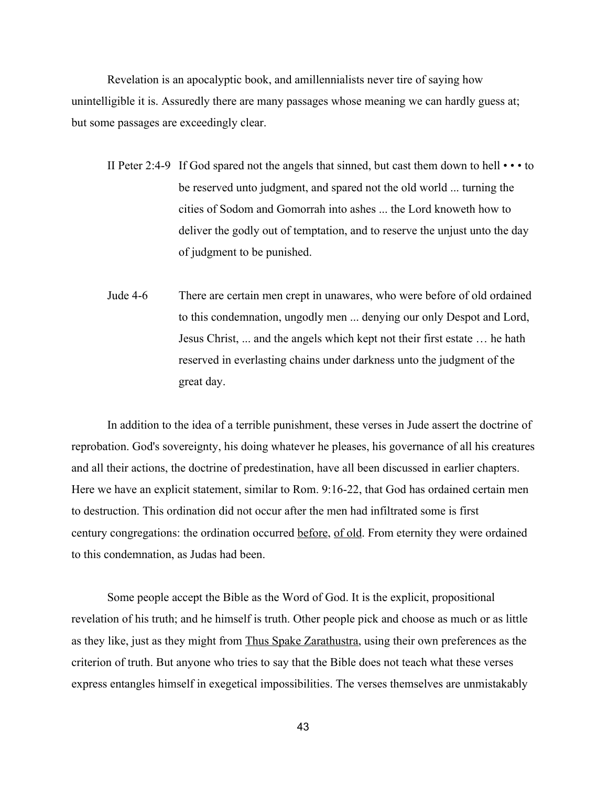Revelation is an apocalyptic book, and amillennialists never tire of saying how unintelligible it is. Assuredly there are many passages whose meaning we can hardly guess at; but some passages are exceedingly clear.

- II Peter 2:4-9 If God spared not the angels that sinned, but cast them down to hell  $\cdots$  to be reserved unto judgment, and spared not the old world ... turning the cities of Sodom and Gomorrah into ashes ... the Lord knoweth how to deliver the godly out of temptation, and to reserve the unjust unto the day of judgment to be punished.
- Jude 46 There are certain men crept in unawares, who were before of old ordained to this condemnation, ungodly men ... denying our only Despot and Lord, Jesus Christ, ... and the angels which kept not their first estate … he hath reserved in everlasting chains under darkness unto the judgment of the great day.

In addition to the idea of a terrible punishment, these verses in Jude assert the doctrine of reprobation. God's sovereignty, his doing whatever he pleases, his governance of all his creatures and all their actions, the doctrine of predestination, have all been discussed in earlier chapters. Here we have an explicit statement, similar to Rom. 9:16-22, that God has ordained certain men to destruction. This ordination did not occur after the men had infiltrated some is first century congregations: the ordination occurred before, of old. From eternity they were ordained to this condemnation, as Judas had been.

Some people accept the Bible as the Word of God. It is the explicit, propositional revelation of his truth; and he himself is truth. Other people pick and choose as much or as little as they like, just as they might from Thus Spake Zarathustra, using their own preferences as the criterion of truth. But anyone who tries to say that the Bible does not teach what these verses express entangles himself in exegetical impossibilities. The verses themselves are unmistakably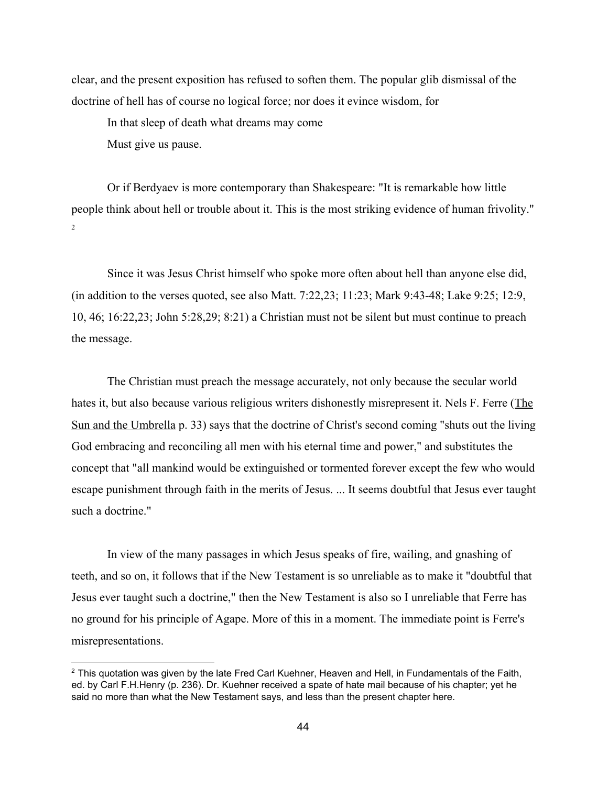clear, and the present exposition has refused to soften them. The popular glib dismissal of the doctrine of hell has of course no logical force; nor does it evince wisdom, for

In that sleep of death what dreams may come

Must give us pause.

Or if Berdyaev is more contemporary than Shakespeare: "It is remarkable how little people think about hell or trouble about it. This is the most striking evidence of human frivolity."  $\overline{2}$ 

Since it was Jesus Christ himself who spoke more often about hell than anyone else did, (in addition to the verses quoted, see also Matt. 7:22,23; 11:23; Mark 9:4348; Lake 9:25; 12:9, 10, 46; 16:22,23; John 5:28,29; 8:21) a Christian must not be silent but must continue to preach the message.

The Christian must preach the message accurately, not only because the secular world hates it, but also because various religious writers dishonestly misrepresent it. Nels F. Ferre (The Sun and the Umbrella p. 33) says that the doctrine of Christ's second coming "shuts out the living God embracing and reconciling all men with his eternal time and power," and substitutes the concept that "all mankind would be extinguished or tormented forever except the few who would escape punishment through faith in the merits of Jesus. ... It seems doubtful that Jesus ever taught such a doctrine."

In view of the many passages in which Jesus speaks of fire, wailing, and gnashing of teeth, and so on, it follows that if the New Testament is so unreliable as to make it "doubtful that Jesus ever taught such a doctrine," then the New Testament is also so I unreliable that Ferre has no ground for his principle of Agape. More of this in a moment. The immediate point is Ferre's misrepresentations.

 $2$  This quotation was given by the late Fred Carl Kuehner, Heaven and Hell, in Fundamentals of the Faith, ed. by Carl F.H.Henry (p. 236). Dr. Kuehner received a spate of hate mail because of his chapter; yet he said no more than what the New Testament says, and less than the present chapter here.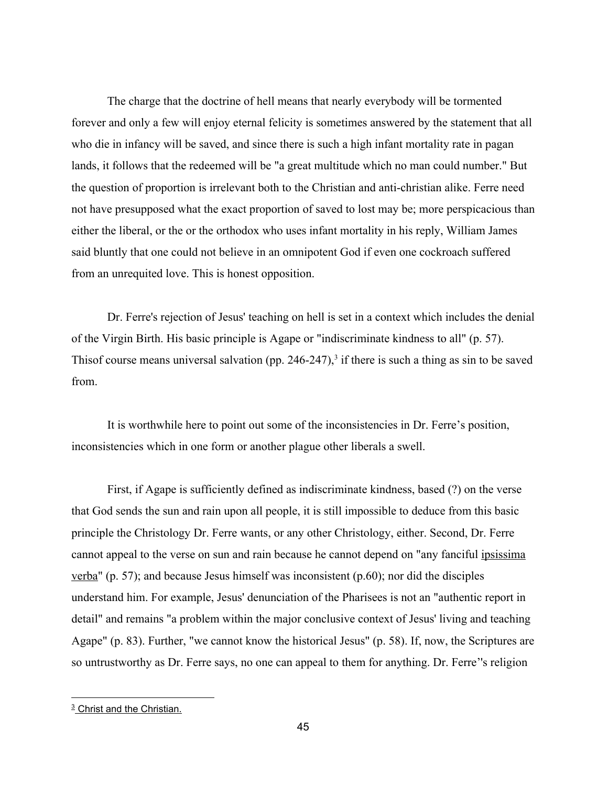The charge that the doctrine of hell means that nearly everybody will be tormented forever and only a few will enjoy eternal felicity is sometimes answered by the statement that all who die in infancy will be saved, and since there is such a high infant mortality rate in pagan lands, it follows that the redeemed will be "a great multitude which no man could number." But the question of proportion is irrelevant both to the Christian and anti-christian alike. Ferre need not have presupposed what the exact proportion of saved to lost may be; more perspicacious than either the liberal, or the or the orthodox who uses infant mortality in his reply, William James said bluntly that one could not believe in an omnipotent God if even one cockroach suffered from an unrequited love. This is honest opposition.

Dr. Ferre's rejection of Jesus' teaching on hell is set in a context which includes the denial of the Virgin Birth. His basic principle is Agape or "indiscriminate kindness to all" (p. 57). Thisof course means universal salvation (pp. 246-247),<sup>3</sup> if there is such a thing as sin to be saved from.

It is worthwhile here to point out some of the inconsistencies in Dr. Ferre's position, inconsistencies which in one form or another plague other liberals a swell.

First, if Agape is sufficiently defined as indiscriminate kindness, based (?) on the verse that God sends the sun and rain upon all people, it is still impossible to deduce from this basic principle the Christology Dr. Ferre wants, or any other Christology, either. Second, Dr. Ferre cannot appeal to the verse on sun and rain because he cannot depend on "any fanciful ipsissima verba" (p. 57); and because Jesus himself was inconsistent (p.60); nor did the disciples understand him. For example, Jesus' denunciation of the Pharisees is not an "authentic report in detail" and remains "a problem within the major conclusive context of Jesus' living and teaching Agape" (p. 83). Further, "we cannot know the historical Jesus" (p. 58). If, now, the Scriptures are so untrustworthy as Dr. Ferre says, no one can appeal to them for anything. Dr. Ferre''s religion

<sup>&</sup>lt;sup>3</sup> Christ and the Christian.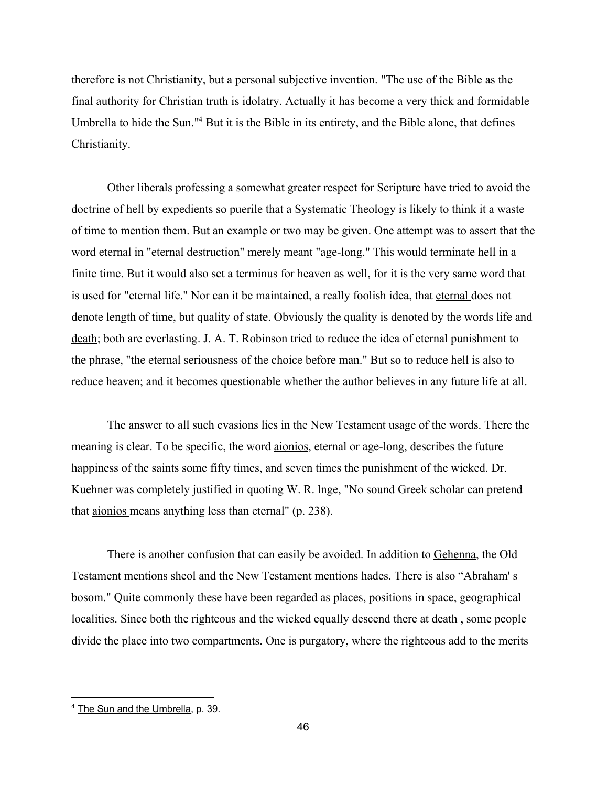therefore is not Christianity, but a personal subjective invention. "The use of the Bible as the final authority for Christian truth is idolatry. Actually it has become a very thick and formidable Umbrella to hide the Sun."<sup>4</sup> But it is the Bible in its entirety, and the Bible alone, that defines Christianity.

Other liberals professing a somewhat greater respect for Scripture have tried to avoid the doctrine of hell by expedients so puerile that a Systematic Theology is likely to think it a waste of time to mention them. But an example or two may be given. One attempt was to assert that the word eternal in "eternal destruction" merely meant "age-long." This would terminate hell in a finite time. But it would also set a terminus for heaven as well, for it is the very same word that is used for "eternal life." Nor can it be maintained, a really foolish idea, that eternal does not denote length of time, but quality of state. Obviously the quality is denoted by the words life and death; both are everlasting. J. A. T. Robinson tried to reduce the idea of eternal punishment to the phrase, "the eternal seriousness of the choice before man." But so to reduce hell is also to reduce heaven; and it becomes questionable whether the author believes in any future life at all.

The answer to all such evasions lies in the New Testament usage of the words. There the meaning is clear. To be specific, the word <u>aionios</u>, eternal or age-long, describes the future happiness of the saints some fifty times, and seven times the punishment of the wicked. Dr. Kuehner was completely justified in quoting W. R. lnge, "No sound Greek scholar can pretend that aionios means anything less than eternal" (p. 238).

There is another confusion that can easily be avoided. In addition to Gehenna, the Old Testament mentions sheol and the New Testament mentions hades. There is also "Abraham' s bosom." Quite commonly these have been regarded as places, positions in space, geographical localities. Since both the righteous and the wicked equally descend there at death , some people divide the place into two compartments. One is purgatory, where the righteous add to the merits

<sup>4</sup> The Sun and the Umbrella, p. 39.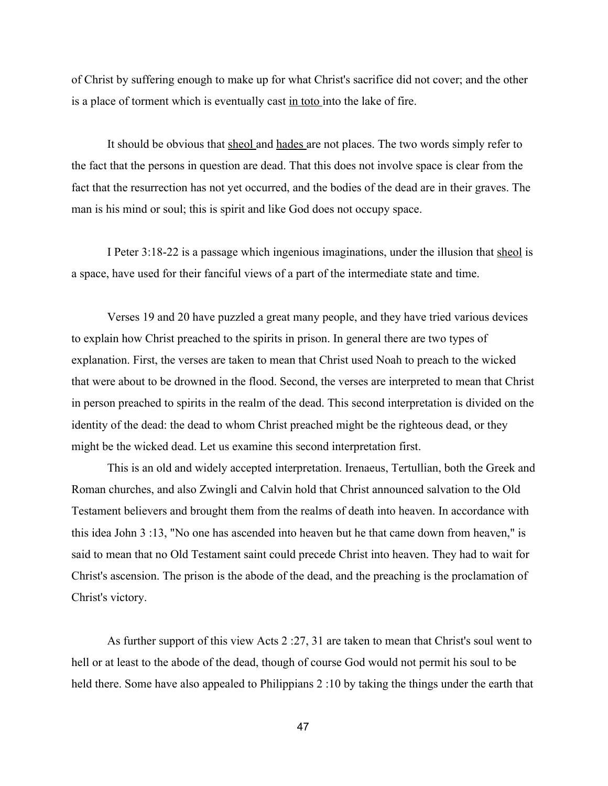of Christ by suffering enough to make up for what Christ's sacrifice did not cover; and the other is a place of torment which is eventually cast in toto into the lake of fire.

It should be obvious that sheol and hades are not places. The two words simply refer to the fact that the persons in question are dead. That this does not involve space is clear from the fact that the resurrection has not yet occurred, and the bodies of the dead are in their graves. The man is his mind or soul; this is spirit and like God does not occupy space.

I Peter 3:18-22 is a passage which ingenious imaginations, under the illusion that sheol is a space, have used for their fanciful views of a part of the intermediate state and time.

Verses 19 and 20 have puzzled a great many people, and they have tried various devices to explain how Christ preached to the spirits in prison. In general there are two types of explanation. First, the verses are taken to mean that Christ used Noah to preach to the wicked that were about to be drowned in the flood. Second, the verses are interpreted to mean that Christ in person preached to spirits in the realm of the dead. This second interpretation is divided on the identity of the dead: the dead to whom Christ preached might be the righteous dead, or they might be the wicked dead. Let us examine this second interpretation first.

This is an old and widely accepted interpretation. Irenaeus, Tertullian, both the Greek and Roman churches, and also Zwingli and Calvin hold that Christ announced salvation to the Old Testament believers and brought them from the realms of death into heaven. In accordance with this idea John 3 :13, "No one has ascended into heaven but he that came down from heaven," is said to mean that no Old Testament saint could precede Christ into heaven. They had to wait for Christ's ascension. The prison is the abode of the dead, and the preaching is the proclamation of Christ's victory.

As further support of this view Acts 2 :27, 31 are taken to mean that Christ's soul went to hell or at least to the abode of the dead, though of course God would not permit his soul to be held there. Some have also appealed to Philippians 2 :10 by taking the things under the earth that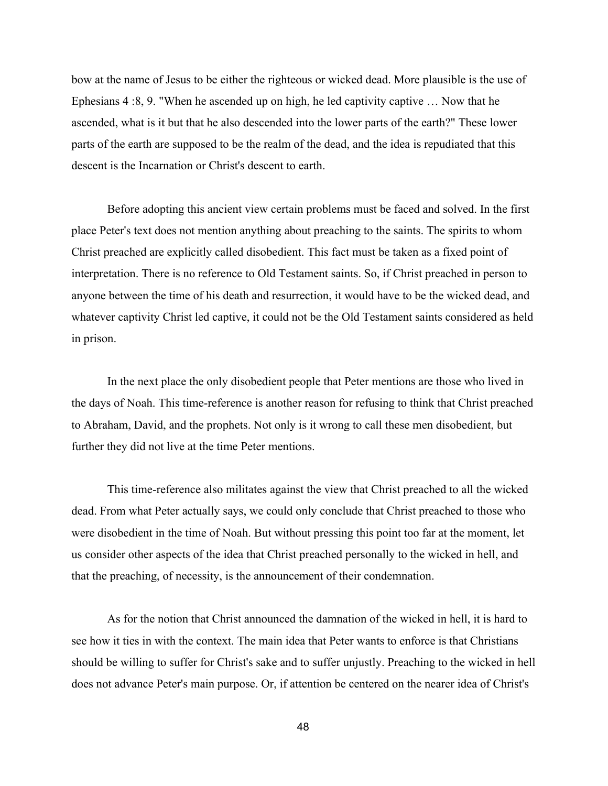bow at the name of Jesus to be either the righteous or wicked dead. More plausible is the use of Ephesians 4 :8, 9. "When he ascended up on high, he led captivity captive … Now that he ascended, what is it but that he also descended into the lower parts of the earth?" These lower parts of the earth are supposed to be the realm of the dead, and the idea is repudiated that this descent is the Incarnation or Christ's descent to earth.

Before adopting this ancient view certain problems must be faced and solved. In the first place Peter's text does not mention anything about preaching to the saints. The spirits to whom Christ preached are explicitly called disobedient. This fact must be taken as a fixed point of interpretation. There is no reference to Old Testament saints. So, if Christ preached in person to anyone between the time of his death and resurrection, it would have to be the wicked dead, and whatever captivity Christ led captive, it could not be the Old Testament saints considered as held in prison.

In the next place the only disobedient people that Peter mentions are those who lived in the days of Noah. This time-reference is another reason for refusing to think that Christ preached to Abraham, David, and the prophets. Not only is it wrong to call these men disobedient, but further they did not live at the time Peter mentions.

This time-reference also militates against the view that Christ preached to all the wicked dead. From what Peter actually says, we could only conclude that Christ preached to those who were disobedient in the time of Noah. But without pressing this point too far at the moment, let us consider other aspects of the idea that Christ preached personally to the wicked in hell, and that the preaching, of necessity, is the announcement of their condemnation.

As for the notion that Christ announced the damnation of the wicked in hell, it is hard to see how it ties in with the context. The main idea that Peter wants to enforce is that Christians should be willing to suffer for Christ's sake and to suffer unjustly. Preaching to the wicked in hell does not advance Peter's main purpose. Or, if attention be centered on the nearer idea of Christ's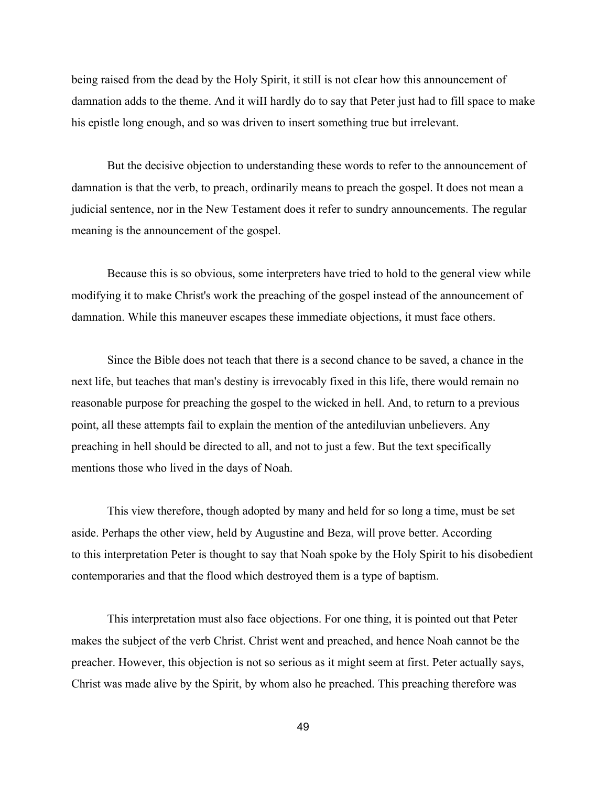being raised from the dead by the Holy Spirit, it stilI is not cIear how this announcement of damnation adds to the theme. And it wiII hardly do to say that Peter just had to fill space to make his epistle long enough, and so was driven to insert something true but irrelevant.

But the decisive objection to understanding these words to refer to the announcement of damnation is that the verb, to preach, ordinarily means to preach the gospel. It does not mean a judicial sentence, nor in the New Testament does it refer to sundry announcements. The regular meaning is the announcement of the gospel.

Because this is so obvious, some interpreters have tried to hold to the general view while modifying it to make Christ's work the preaching of the gospel instead of the announcement of damnation. While this maneuver escapes these immediate objections, it must face others.

Since the Bible does not teach that there is a second chance to be saved, a chance in the next life, but teaches that man's destiny is irrevocably fixed in this life, there would remain no reasonable purpose for preaching the gospel to the wicked in hell. And, to return to a previous point, all these attempts fail to explain the mention of the antediluvian unbelievers. Any preaching in hell should be directed to all, and not to just a few. But the text specifically mentions those who lived in the days of Noah.

This view therefore, though adopted by many and held for so long a time, must be set aside. Perhaps the other view, held by Augustine and Beza, will prove better. According to this interpretation Peter is thought to say that Noah spoke by the Holy Spirit to his disobedient contemporaries and that the flood which destroyed them is a type of baptism.

This interpretation must also face objections. For one thing, it is pointed out that Peter makes the subject of the verb Christ. Christ went and preached, and hence Noah cannot be the preacher. However, this objection is not so serious as it might seem at first. Peter actually says, Christ was made alive by the Spirit, by whom also he preached. This preaching therefore was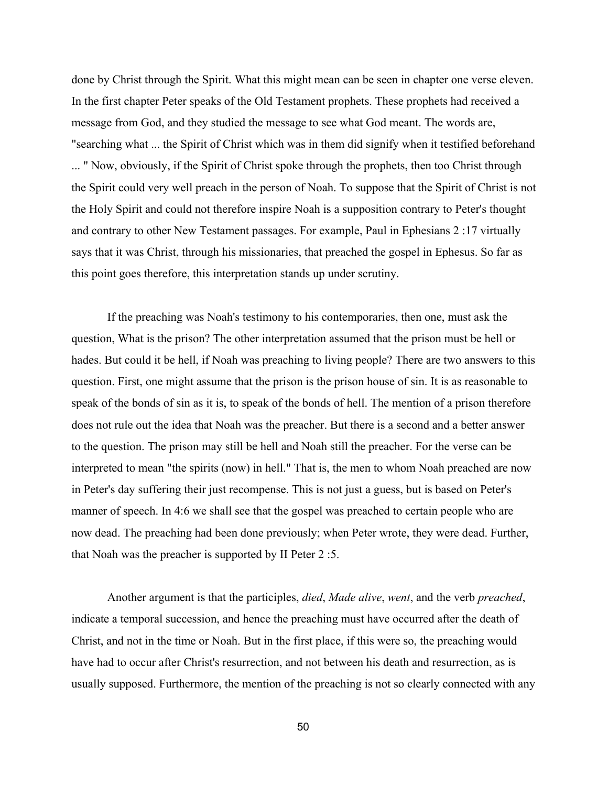done by Christ through the Spirit. What this might mean can be seen in chapter one verse eleven. In the first chapter Peter speaks of the Old Testament prophets. These prophets had received a message from God, and they studied the message to see what God meant. The words are, "searching what ... the Spirit of Christ which was in them did signify when it testified beforehand ... " Now, obviously, if the Spirit of Christ spoke through the prophets, then too Christ through the Spirit could very well preach in the person of Noah. To suppose that the Spirit of Christ is not the Holy Spirit and could not therefore inspire Noah is a supposition contrary to Peter's thought and contrary to other New Testament passages. For example, Paul in Ephesians 2 :17 virtually says that it was Christ, through his missionaries, that preached the gospel in Ephesus. So far as this point goes therefore, this interpretation stands up under scrutiny.

If the preaching was Noah's testimony to his contemporaries, then one, must ask the question, What is the prison? The other interpretation assumed that the prison must be hell or hades. But could it be hell, if Noah was preaching to living people? There are two answers to this question. First, one might assume that the prison is the prison house of sin. It is as reasonable to speak of the bonds of sin as it is, to speak of the bonds of hell. The mention of a prison therefore does not rule out the idea that Noah was the preacher. But there is a second and a better answer to the question. The prison may still be hell and Noah still the preacher. For the verse can be interpreted to mean "the spirits (now) in hell." That is, the men to whom Noah preached are now in Peter's day suffering their just recompense. This is not just a guess, but is based on Peter's manner of speech. In 4:6 we shall see that the gospel was preached to certain people who are now dead. The preaching had been done previously; when Peter wrote, they were dead. Further, that Noah was the preacher is supported by II Peter 2 :5.

Another argument is that the participles, *died*, *Made alive*, *went*, and the verb *preached*, indicate a temporal succession, and hence the preaching must have occurred after the death of Christ, and not in the time or Noah. But in the first place, if this were so, the preaching would have had to occur after Christ's resurrection, and not between his death and resurrection, as is usually supposed. Furthermore, the mention of the preaching is not so clearly connected with any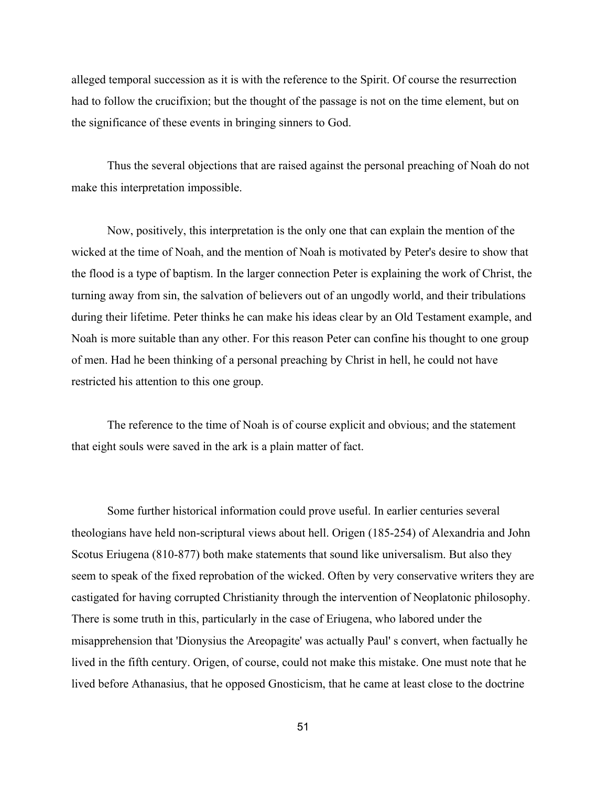alleged temporal succession as it is with the reference to the Spirit. Of course the resurrection had to follow the crucifixion; but the thought of the passage is not on the time element, but on the significance of these events in bringing sinners to God.

Thus the several objections that are raised against the personal preaching of Noah do not make this interpretation impossible.

Now, positively, this interpretation is the only one that can explain the mention of the wicked at the time of Noah, and the mention of Noah is motivated by Peter's desire to show that the flood is a type of baptism. In the larger connection Peter is explaining the work of Christ, the turning away from sin, the salvation of believers out of an ungodly world, and their tribulations during their lifetime. Peter thinks he can make his ideas clear by an Old Testament example, and Noah is more suitable than any other. For this reason Peter can confine his thought to one group of men. Had he been thinking of a personal preaching by Christ in hell, he could not have restricted his attention to this one group.

The reference to the time of Noah is of course explicit and obvious; and the statement that eight souls were saved in the ark is a plain matter of fact.

Some further historical information could prove useful. In earlier centuries several theologians have held non-scriptural views about hell. Origen (185-254) of Alexandria and John Scotus Eriugena (810-877) both make statements that sound like universalism. But also they seem to speak of the fixed reprobation of the wicked. Often by very conservative writers they are castigated for having corrupted Christianity through the intervention of Neoplatonic philosophy. There is some truth in this, particularly in the case of Eriugena, who labored under the misapprehension that 'Dionysius the Areopagite' was actually Paul' s convert, when factually he lived in the fifth century. Origen, of course, could not make this mistake. One must note that he lived before Athanasius, that he opposed Gnosticism, that he came at least close to the doctrine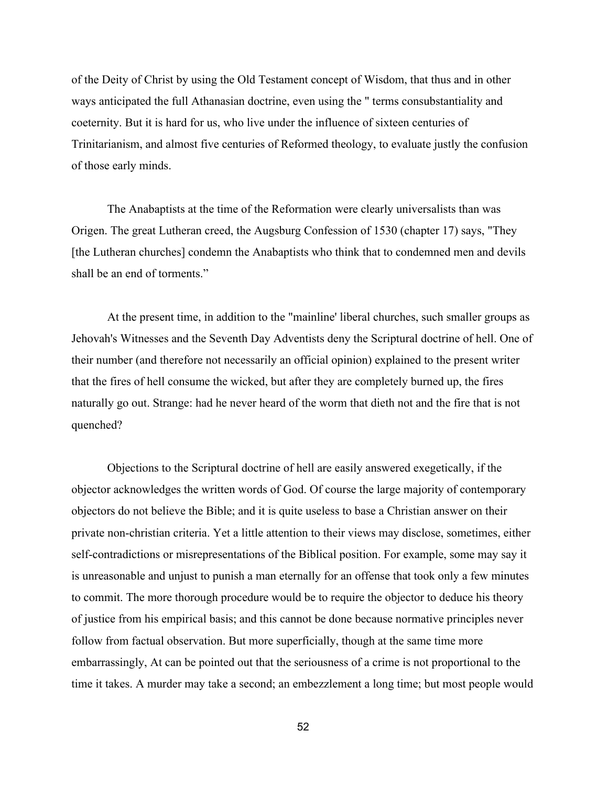of the Deity of Christ by using the Old Testament concept of Wisdom, that thus and in other ways anticipated the full Athanasian doctrine, even using the " terms consubstantiality and coeternity. But it is hard for us, who live under the influence of sixteen centuries of Trinitarianism, and almost five centuries of Reformed theology, to evaluate justly the confusion of those early minds.

The Anabaptists at the time of the Reformation were clearly universalists than was Origen. The great Lutheran creed, the Augsburg Confession of 1530 (chapter 17) says, "They [the Lutheran churches] condemn the Anabaptists who think that to condemned men and devils shall be an end of torments."

At the present time, in addition to the "mainline' liberal churches, such smaller groups as Jehovah's Witnesses and the Seventh Day Adventists deny the Scriptural doctrine of hell. One of their number (and therefore not necessarily an official opinion) explained to the present writer that the fires of hell consume the wicked, but after they are completely burned up, the fires naturally go out. Strange: had he never heard of the worm that dieth not and the fire that is not quenched?

Objections to the Scriptural doctrine of hell are easily answered exegetically, if the objector acknowledges the written words of God. Of course the large majority of contemporary objectors do not believe the Bible; and it is quite useless to base a Christian answer on their private non-christian criteria. Yet a little attention to their views may disclose, sometimes, either self-contradictions or misrepresentations of the Biblical position. For example, some may say it is unreasonable and unjust to punish a man eternally for an offense that took only a few minutes to commit. The more thorough procedure would be to require the objector to deduce his theory of justice from his empirical basis; and this cannot be done because normative principles never follow from factual observation. But more superficially, though at the same time more embarrassingly, At can be pointed out that the seriousness of a crime is not proportional to the time it takes. A murder may take a second; an embezzlement a long time; but most people would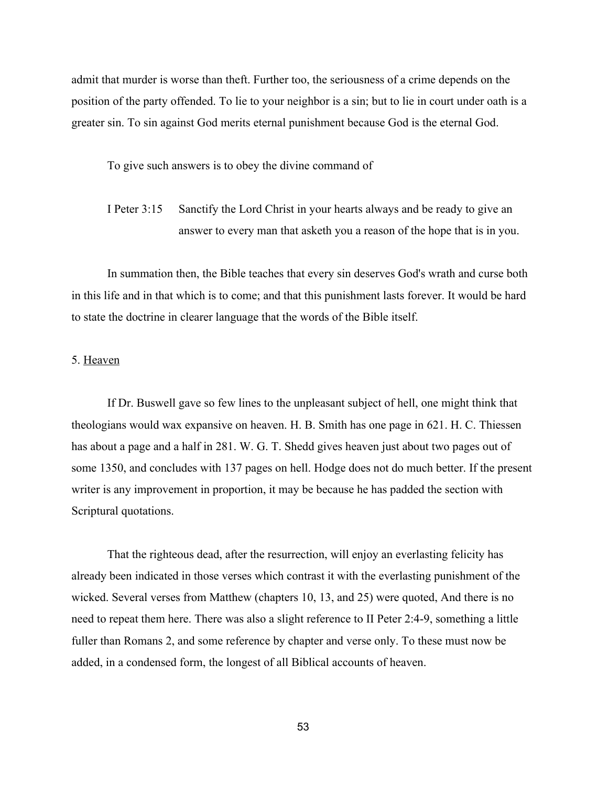admit that murder is worse than theft. Further too, the seriousness of a crime depends on the position of the party offended. To lie to your neighbor is a sin; but to lie in court under oath is a greater sin. To sin against God merits eternal punishment because God is the eternal God.

To give such answers is to obey the divine command of

I Peter 3:15 Sanctify the Lord Christ in your hearts always and be ready to give an answer to every man that asketh you a reason of the hope that is in you.

In summation then, the Bible teaches that every sin deserves God's wrath and curse both in this life and in that which is to come; and that this punishment lasts forever. It would be hard to state the doctrine in clearer language that the words of the Bible itself.

## 5. Heaven

If Dr. Buswell gave so few lines to the unpleasant subject of hell, one might think that theologians would wax expansive on heaven. H. B. Smith has one page in 621. H. C. Thiessen has about a page and a half in 281. W. G. T. Shedd gives heaven just about two pages out of some 1350, and concludes with 137 pages on hell. Hodge does not do much better. If the present writer is any improvement in proportion, it may be because he has padded the section with Scriptural quotations.

That the righteous dead, after the resurrection, will enjoy an everlasting felicity has already been indicated in those verses which contrast it with the everlasting punishment of the wicked. Several verses from Matthew (chapters 10, 13, and 25) were quoted, And there is no need to repeat them here. There was also a slight reference to II Peter 2:4-9, something a little fuller than Romans 2, and some reference by chapter and verse only. To these must now be added, in a condensed form, the longest of all Biblical accounts of heaven.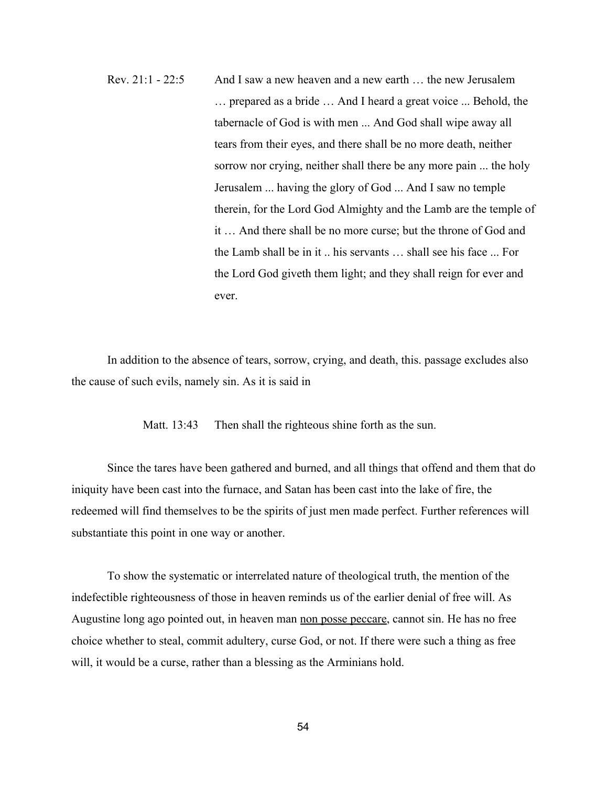Rev. 21:1 22:5 And I saw a new heaven and a new earth … the new Jerusalem … prepared as a bride … And I heard a great voice ... Behold, the tabernacle of God is with men ... And God shall wipe away all tears from their eyes, and there shall be no more death, neither sorrow nor crying, neither shall there be any more pain ... the holy Jerusalem ... having the glory of God ... And I saw no temple therein, for the Lord God Almighty and the Lamb are the temple of it … And there shall be no more curse; but the throne of God and the Lamb shall be in it .. his servants … shall see his face ... For the Lord God giveth them light; and they shall reign for ever and ever.

In addition to the absence of tears, sorrow, crying, and death, this. passage excludes also the cause of such evils, namely sin. As it is said in

Matt. 13:43 Then shall the righteous shine forth as the sun.

Since the tares have been gathered and burned, and all things that offend and them that do iniquity have been cast into the furnace, and Satan has been cast into the lake of fire, the redeemed will find themselves to be the spirits of just men made perfect. Further references will substantiate this point in one way or another.

To show the systematic or interrelated nature of theological truth, the mention of the indefectible righteousness of those in heaven reminds us of the earlier denial of free will. As Augustine long ago pointed out, in heaven man non posse peccare, cannot sin. He has no free choice whether to steal, commit adultery, curse God, or not. If there were such a thing as free will, it would be a curse, rather than a blessing as the Arminians hold.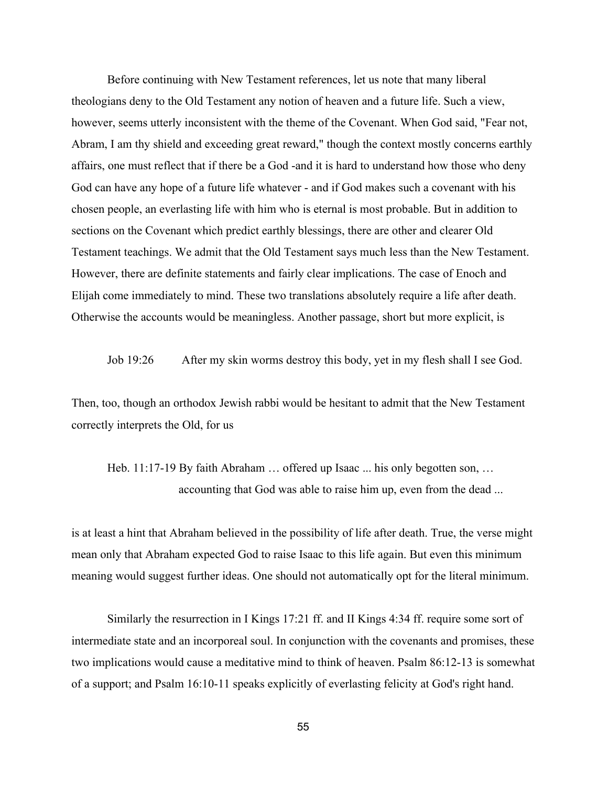Before continuing with New Testament references, let us note that many liberal theologians deny to the Old Testament any notion of heaven and a future life. Such a view, however, seems utterly inconsistent with the theme of the Covenant. When God said, "Fear not, Abram, I am thy shield and exceeding great reward," though the context mostly concerns earthly affairs, one must reflect that if there be a God-and it is hard to understand how those who deny God can have any hope of a future life whatever - and if God makes such a covenant with his chosen people, an everlasting life with him who is eternal is most probable. But in addition to sections on the Covenant which predict earthly blessings, there are other and clearer Old Testament teachings. We admit that the Old Testament says much less than the New Testament. However, there are definite statements and fairly clear implications. The case of Enoch and Elijah come immediately to mind. These two translations absolutely require a life after death. Otherwise the accounts would be meaningless. Another passage, short but more explicit, is

Job 19:26 After my skin worms destroy this body, yet in my flesh shall I see God.

Then, too, though an orthodox Jewish rabbi would be hesitant to admit that the New Testament correctly interprets the Old, for us

Heb. 11:17-19 By faith Abraham ... offered up Isaac ... his only begotten son, ... accounting that God was able to raise him up, even from the dead ...

is at least a hint that Abraham believed in the possibility of life after death. True, the verse might mean only that Abraham expected God to raise Isaac to this life again. But even this minimum meaning would suggest further ideas. One should not automatically opt for the literal minimum.

Similarly the resurrection in I Kings 17:21 ff. and II Kings 4:34 ff. require some sort of intermediate state and an incorporeal soul. In conjunction with the covenants and promises, these two implications would cause a meditative mind to think of heaven. Psalm 86:12-13 is somewhat of a support; and Psalm 16:10-11 speaks explicitly of everlasting felicity at God's right hand.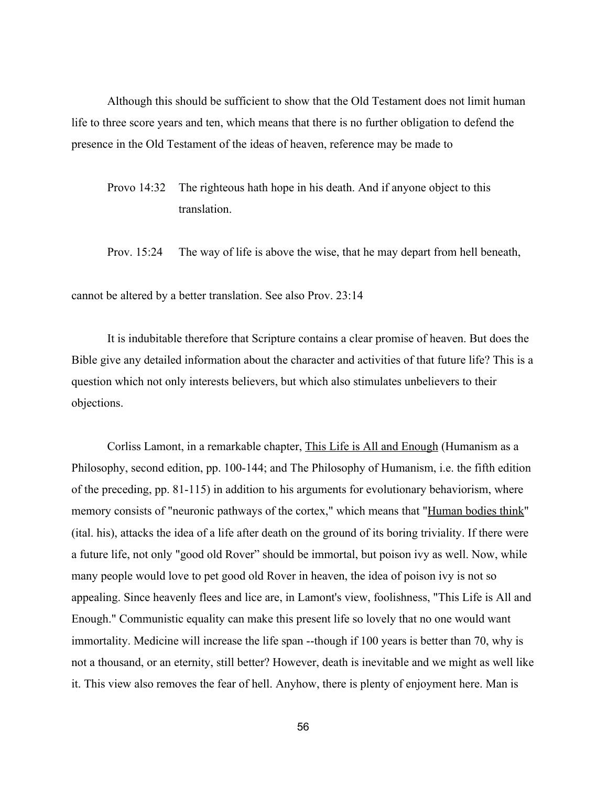Although this should be sufficient to show that the Old Testament does not limit human life to three score years and ten, which means that there is no further obligation to defend the presence in the Old Testament of the ideas of heaven, reference may be made to

Provo 14:32 The righteous hath hope in his death. And if anyone object to this translation.

Prov. 15:24 The way of life is above the wise, that he may depart from hell beneath,

cannot be altered by a better translation. See also Prov. 23:14

It is indubitable therefore that Scripture contains a clear promise of heaven. But does the Bible give any detailed information about the character and activities of that future life? This is a question which not only interests believers, but which also stimulates unbelievers to their objections.

Corliss Lamont, in a remarkable chapter, This Life is All and Enough (Humanism as a Philosophy, second edition, pp. 100-144; and The Philosophy of Humanism, i.e. the fifth edition of the preceding, pp.  $81-115$ ) in addition to his arguments for evolutionary behaviorism, where memory consists of "neuronic pathways of the cortex," which means that "Human bodies think" (ital. his), attacks the idea of a life after death on the ground of its boring triviality. If there were a future life, not only "good old Rover" should be immortal, but poison ivy as well. Now, while many people would love to pet good old Rover in heaven, the idea of poison ivy is not so appealing. Since heavenly flees and lice are, in Lamont's view, foolishness, "This Life is All and Enough." Communistic equality can make this present life so lovely that no one would want immortality. Medicine will increase the life span --though if 100 years is better than 70, why is not a thousand, or an eternity, still better? However, death is inevitable and we might as well like it. This view also removes the fear of hell. Anyhow, there is plenty of enjoyment here. Man is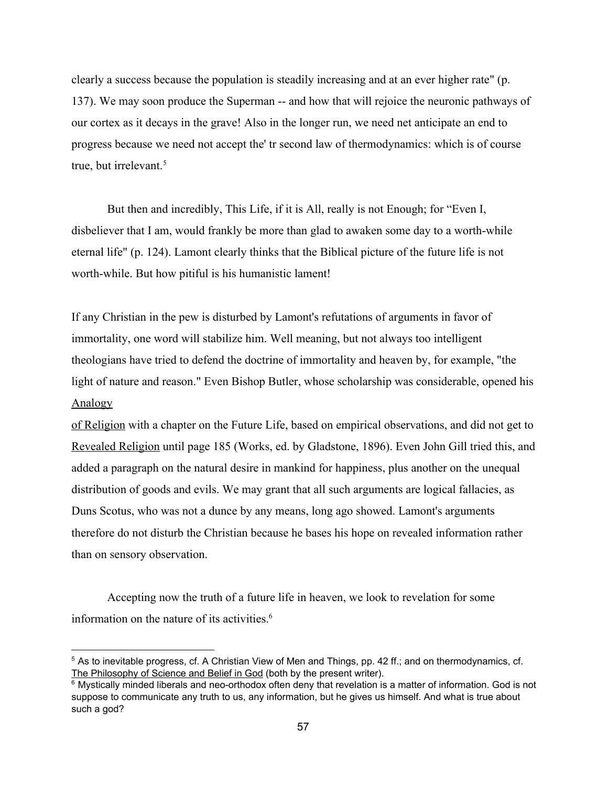clearly a success because the population is steadily increasing and at an ever higher rate" (p. 137). We may soon produce the Superman -- and how that will rejoice the neuronic pathways of our cortex as it decays in the grave! Also in the longer run, we need net anticipate an end to progress because we need not accept the' tr second law of thermodynamics: which is of course true, but irrelevant. 5

But then and incredibly, This Life, if it is All, really is not Enough; for "Even I, disbeliever that I am, would frankly be more than glad to awaken some day to a worth-while eternal life" (p. 124). Lamont clearly thinks that the Biblical picture of the future life is not worth-while. But how pitiful is his humanistic lament!

If any Christian in the pew is disturbed by Lamont's refutations of arguments in favor of immortality, one word will stabilize him. Well meaning, but not always too intelligent theologians have tried to defend the doctrine of immortality and heaven by, for example, "the light of nature and reason." Even Bishop Butler, whose scholarship was considerable, opened his Analogy

of Religion with a chapter on the Future Life, based on empirical observations, and did not get to Revealed Religion until page 185 (Works, ed. by Gladstone, 1896). Even John Gill tried this, and added a paragraph on the natural desire in mankind for happiness, plus another on the unequal distribution of goods and evils. We may grant that all such arguments are logical fallacies, as Duns Scotus, who was not a dunce by any means, long ago showed. Lamont's arguments therefore do not disturb the Christian because he bases his hope on revealed information rather than on sensory observation.

Accepting now the truth of a future life in heaven, we look to revelation for some information on the nature of its activities. 6

<sup>5</sup> As to inevitable progress, cf. A Christian View of Men and Things, pp. 42 ff.; and on thermodynamics, cf. The Philosophy of Science and Belief in God (both by the present writer).

 $6$  Mystically minded liberals and neo-orthodox often deny that revelation is a matter of information. God is not suppose to communicate any truth to us, any information, but he gives us himself. And what is true about such a god?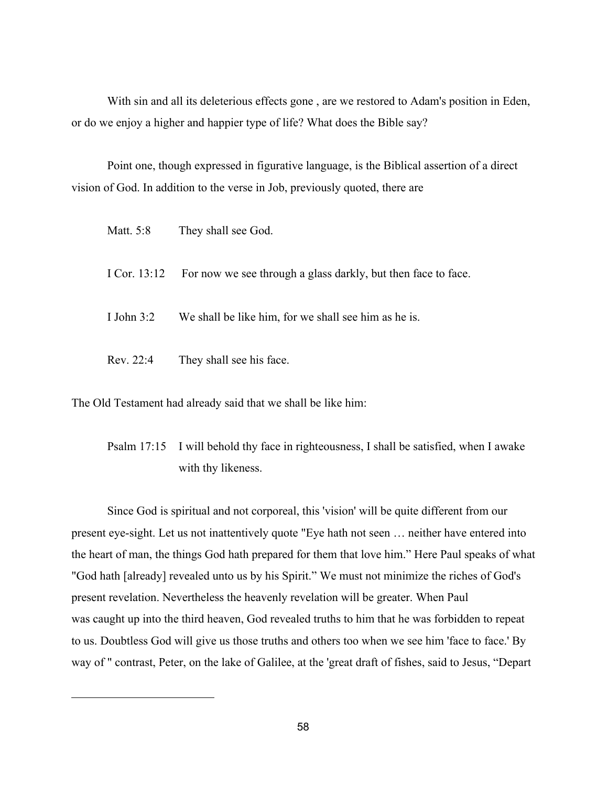With sin and all its deleterious effects gone , are we restored to Adam's position in Eden, or do we enjoy a higher and happier type of life? What does the Bible say?

Point one, though expressed in figurative language, is the Biblical assertion of a direct vision of God. In addition to the verse in Job, previously quoted, there are

| Matt. 5:8    | They shall see God.                                                        |
|--------------|----------------------------------------------------------------------------|
|              | I Cor. 13:12 For now we see through a glass darkly, but then face to face. |
| I John $3:2$ | We shall be like him, for we shall see him as he is.                       |
| Rev. 22:4    | They shall see his face.                                                   |

The Old Testament had already said that we shall be like him:

Psalm 17:15 I will behold thy face in righteousness, I shall be satisfied, when I awake with thy likeness.

Since God is spiritual and not corporeal, this 'vision' will be quite different from our present eye-sight. Let us not inattentively quote "Eye hath not seen ... neither have entered into the heart of man, the things God hath prepared for them that love him." Here Paul speaks of what "God hath [already] revealed unto us by his Spirit." We must not minimize the riches of God's present revelation. Nevertheless the heavenly revelation will be greater. When Paul was caught up into the third heaven, God revealed truths to him that he was forbidden to repeat to us. Doubtless God will give us those truths and others too when we see him 'face to face.' By way of " contrast, Peter, on the lake of Galilee, at the 'great draft of fishes, said to Jesus, "Depart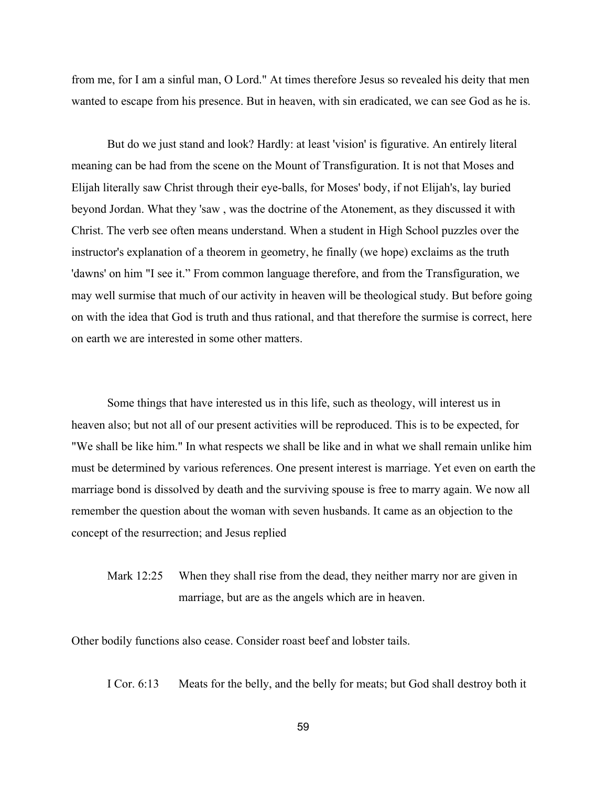from me, for I am a sinful man, O Lord." At times therefore Jesus so revealed his deity that men wanted to escape from his presence. But in heaven, with sin eradicated, we can see God as he is.

But do we just stand and look? Hardly: at least 'vision' is figurative. An entirely literal meaning can be had from the scene on the Mount of Transfiguration. It is not that Moses and Elijah literally saw Christ through their eye-balls, for Moses' body, if not Elijah's, lay buried beyond Jordan. What they 'saw , was the doctrine of the Atonement, as they discussed it with Christ. The verb see often means understand. When a student in High School puzzles over the instructor's explanation of a theorem in geometry, he finally (we hope) exclaims as the truth 'dawns' on him "I see it." From common language therefore, and from the Transfiguration, we may well surmise that much of our activity in heaven will be theological study. But before going on with the idea that God is truth and thus rational, and that therefore the surmise is correct, here on earth we are interested in some other matters.

Some things that have interested us in this life, such as theology, will interest us in heaven also; but not all of our present activities will be reproduced. This is to be expected, for "We shall be like him." In what respects we shall be like and in what we shall remain unlike him must be determined by various references. One present interest is marriage. Yet even on earth the marriage bond is dissolved by death and the surviving spouse is free to marry again. We now all remember the question about the woman with seven husbands. It came as an objection to the concept of the resurrection; and Jesus replied

# Mark 12:25 When they shall rise from the dead, they neither marry nor are given in marriage, but are as the angels which are in heaven.

Other bodily functions also cease. Consider roast beef and lobster tails.

I Cor. 6:13 Meats for the belly, and the belly for meats; but God shall destroy both it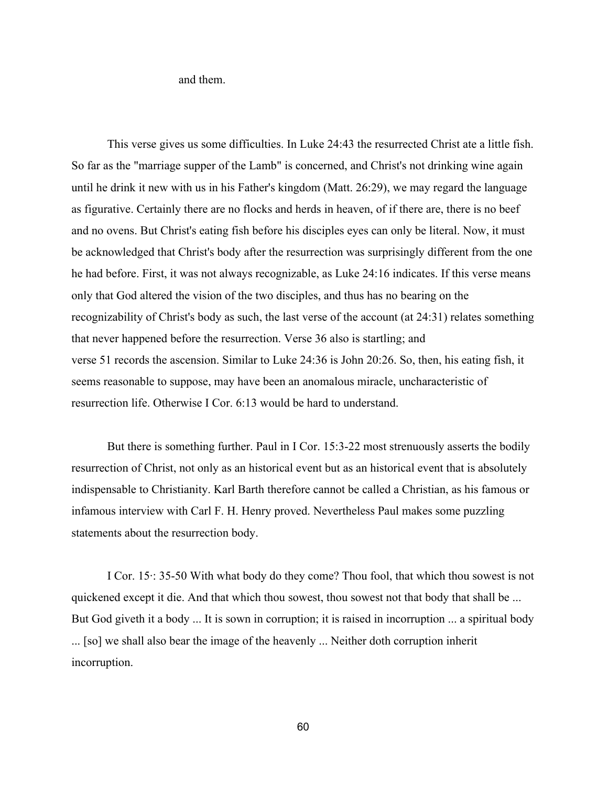and them.

This verse gives us some difficulties. In Luke 24:43 the resurrected Christ ate a little fish. So far as the "marriage supper of the Lamb" is concerned, and Christ's not drinking wine again until he drink it new with us in his Father's kingdom (Matt. 26:29), we may regard the language as figurative. Certainly there are no flocks and herds in heaven, of if there are, there is no beef and no ovens. But Christ's eating fish before his disciples eyes can only be literal. Now, it must be acknowledged that Christ's body after the resurrection was surprisingly different from the one he had before. First, it was not always recognizable, as Luke 24:16 indicates. If this verse means only that God altered the vision of the two disciples, and thus has no bearing on the recognizability of Christ's body as such, the last verse of the account (at 24:31) relates something that never happened before the resurrection. Verse 36 also is startling; and verse 51 records the ascension. Similar to Luke 24:36 is John 20:26. So, then, his eating fish, it seems reasonable to suppose, may have been an anomalous miracle, uncharacteristic of resurrection life. Otherwise I Cor. 6:13 would be hard to understand.

But there is something further. Paul in I Cor. 15:3-22 most strenuously asserts the bodily resurrection of Christ, not only as an historical event but as an historical event that is absolutely indispensable to Christianity. Karl Barth therefore cannot be called a Christian, as his famous or infamous interview with Carl F. H. Henry proved. Nevertheless Paul makes some puzzling statements about the resurrection body.

I Cor. 15⋅ 35-50 With what body do they come? Thou fool, that which thou sowest is not quickened except it die. And that which thou sowest, thou sowest not that body that shall be ... But God giveth it a body ... It is sown in corruption; it is raised in incorruption ... a spiritual body ... [so] we shall also bear the image of the heavenly ... Neither doth corruption inherit incorruption.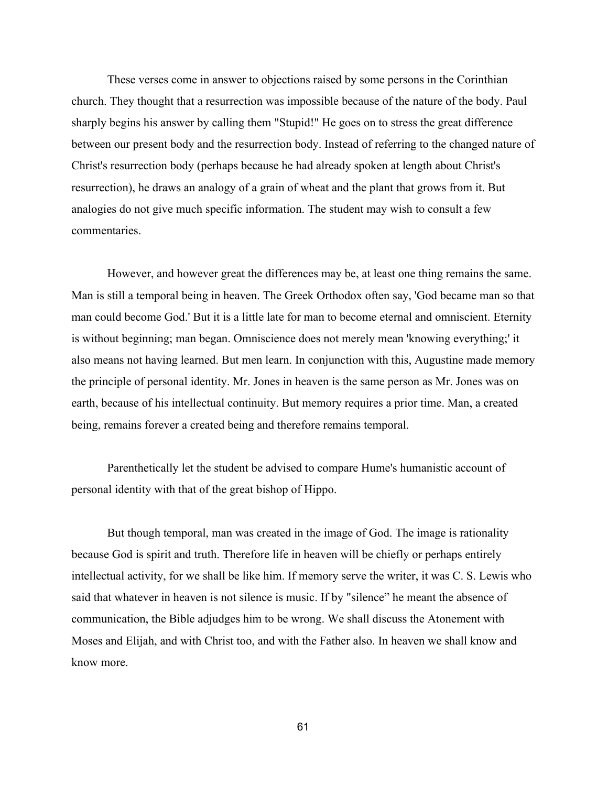These verses come in answer to objections raised by some persons in the Corinthian church. They thought that a resurrection was impossible because of the nature of the body. Paul sharply begins his answer by calling them "Stupid!" He goes on to stress the great difference between our present body and the resurrection body. Instead of referring to the changed nature of Christ's resurrection body (perhaps because he had already spoken at length about Christ's resurrection), he draws an analogy of a grain of wheat and the plant that grows from it. But analogies do not give much specific information. The student may wish to consult a few commentaries.

However, and however great the differences may be, at least one thing remains the same. Man is still a temporal being in heaven. The Greek Orthodox often say, 'God became man so that man could become God.' But it is a little late for man to become eternal and omniscient. Eternity is without beginning; man began. Omniscience does not merely mean 'knowing everything;' it also means not having learned. But men learn. In conjunction with this, Augustine made memory the principle of personal identity. Mr. Jones in heaven is the same person as Mr. Jones was on earth, because of his intellectual continuity. But memory requires a prior time. Man, a created being, remains forever a created being and therefore remains temporal.

Parenthetically let the student be advised to compare Hume's humanistic account of personal identity with that of the great bishop of Hippo.

But though temporal, man was created in the image of God. The image is rationality because God is spirit and truth. Therefore life in heaven will be chiefly or perhaps entirely intellectual activity, for we shall be like him. If memory serve the writer, it was C. S. Lewis who said that whatever in heaven is not silence is music. If by "silence" he meant the absence of communication, the Bible adjudges him to be wrong. We shall discuss the Atonement with Moses and Elijah, and with Christ too, and with the Father also. In heaven we shall know and know more.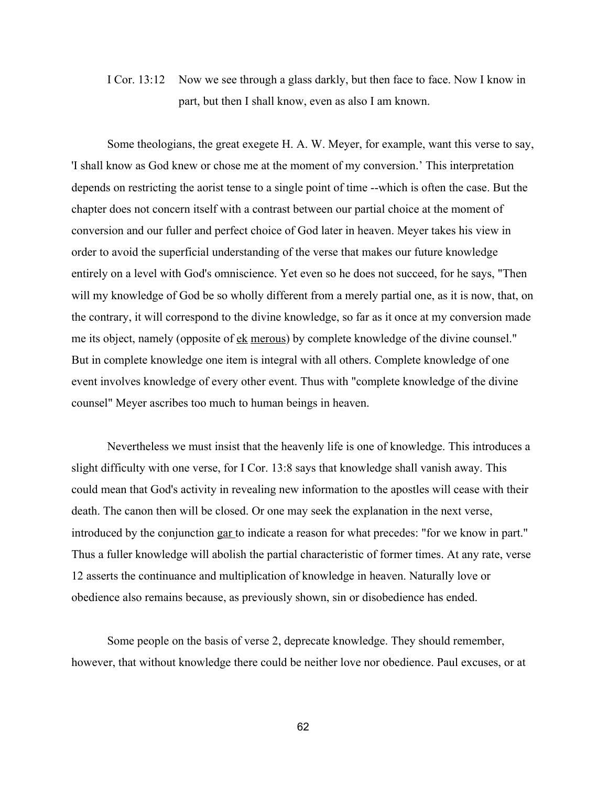# I Cor. 13:12 Now we see through a glass darkly, but then face to face. Now I know in part, but then I shall know, even as also I am known.

Some theologians, the great exegete H. A. W. Meyer, for example, want this verse to say, 'I shall know as God knew or chose me at the moment of my conversion.' This interpretation depends on restricting the aorist tense to a single point of time --which is often the case. But the chapter does not concern itself with a contrast between our partial choice at the moment of conversion and our fuller and perfect choice of God later in heaven. Meyer takes his view in order to avoid the superficial understanding of the verse that makes our future knowledge entirely on a level with God's omniscience. Yet even so he does not succeed, for he says, "Then will my knowledge of God be so wholly different from a merely partial one, as it is now, that, on the contrary, it will correspond to the divine knowledge, so far as it once at my conversion made me its object, namely (opposite of <u>ek merous</u>) by complete knowledge of the divine counsel." But in complete knowledge one item is integral with all others. Complete knowledge of one event involves knowledge of every other event. Thus with "complete knowledge of the divine counsel" Meyer ascribes too much to human beings in heaven.

Nevertheless we must insist that the heavenly life is one of knowledge. This introduces a slight difficulty with one verse, for I Cor. 13:8 says that knowledge shall vanish away. This could mean that God's activity in revealing new information to the apostles will cease with their death. The canon then will be closed. Or one may seek the explanation in the next verse, introduced by the conjunction gar to indicate a reason for what precedes: "for we know in part." Thus a fuller knowledge will abolish the partial characteristic of former times. At any rate, verse 12 asserts the continuance and multiplication of knowledge in heaven. Naturally love or obedience also remains because, as previously shown, sin or disobedience has ended.

Some people on the basis of verse 2, deprecate knowledge. They should remember, however, that without knowledge there could be neither love nor obedience. Paul excuses, or at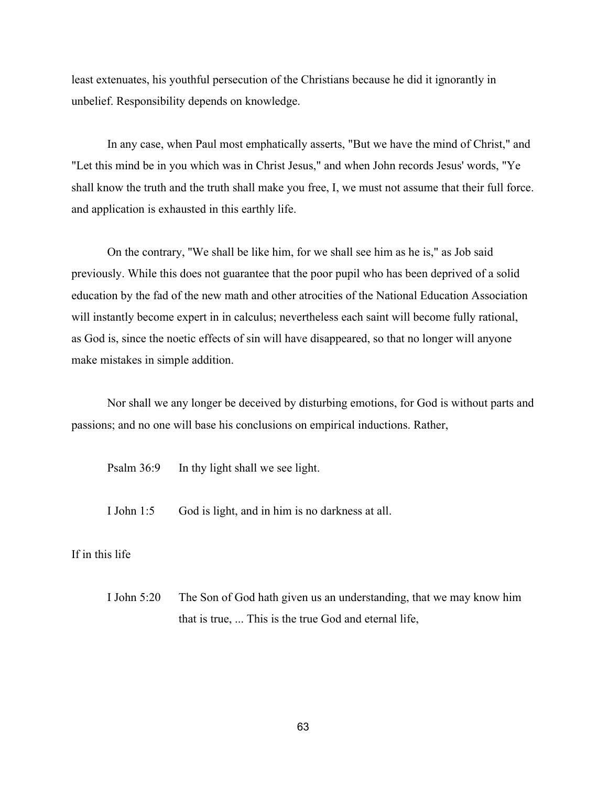least extenuates, his youthful persecution of the Christians because he did it ignorantly in unbelief. Responsibility depends on knowledge.

In any case, when Paul most emphatically asserts, "But we have the mind of Christ," and "Let this mind be in you which was in Christ Jesus," and when John records Jesus' words, "Ye shall know the truth and the truth shall make you free, I, we must not assume that their full force. and application is exhausted in this earthly life.

On the contrary, ''We shall be like him, for we shall see him as he is," as Job said previously. While this does not guarantee that the poor pupil who has been deprived of a solid education by the fad of the new math and other atrocities of the National Education Association will instantly become expert in in calculus; nevertheless each saint will become fully rational, as God is, since the noetic effects of sin will have disappeared, so that no longer will anyone make mistakes in simple addition.

Nor shall we any longer be deceived by disturbing emotions, for God is without parts and passions; and no one will base his conclusions on empirical inductions. Rather,

Psalm 36:9 In thy light shall we see light.

I John 1:5 God is light, and in him is no darkness at all.

## If in this life

I John 5:20 The Son of God hath given us an understanding, that we may know him that is true, ... This is the true God and eternal life,